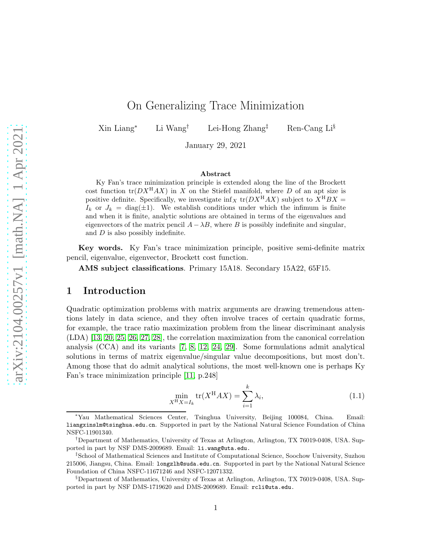# On Generalizing Trace Minimization

Xin Liang<sup>∗</sup> Li Wang† Lei-Hong Zhang‡ Ren-Cang Li§

January 29, 2021

#### Abstract

Ky Fan's trace minimization principle is extended along the line of the Brockett cost function  $tr(DX^HAX)$  in X on the Stiefel manifold, where D of an apt size is positive definite. Specifically, we investigate  $\inf_X$  tr( $DX^HAX$ ) subject to  $X^HBX =$  $I_k$  or  $J_k = \text{diag}(\pm 1)$ . We establish conditions under which the infimum is finite and when it is finite, analytic solutions are obtained in terms of the eigenvalues and eigenvectors of the matrix pencil  $A - \lambda B$ , where B is possibly indefinite and singular, and D is also possibly indefinite.

Key words. Ky Fan's trace minimization principle, positive semi-definite matrix pencil, eigenvalue, eigenvector, Brockett cost function.

AMS subject classifications. Primary 15A18. Secondary 15A22, 65F15.

### 1 Introduction

Quadratic optimization problems with matrix arguments are drawing tremendous attentions lately in data science, and they often involve traces of certain quadratic forms, for example, the trace ratio maximization problem from the linear discriminant analysis (LDA) [\[13,](#page-19-0) [20,](#page-20-0) [25,](#page-20-1) [26,](#page-20-2) [27,](#page-20-3) [28\]](#page-20-4), the correlation maximization from the canonical correlation analysis (CCA) and its variants [\[7,](#page-19-1) [8,](#page-19-2) [12,](#page-19-3) [24,](#page-20-5) [29\]](#page-20-6). Some formulations admit analytical solutions in terms of matrix eigenvalue/singular value decompositions, but most don't. Among those that do admit analytical solutions, the most well-known one is perhaps Ky Fan's trace minimization principle [\[11,](#page-19-4) p.248]

<span id="page-0-0"></span>
$$
\min_{X^{\mathcal{H}}X = I_k} \text{tr}(X^{\mathcal{H}}AX) = \sum_{i=1}^{k} \lambda_i,\tag{1.1}
$$

<sup>∗</sup>Yau Mathematical Sciences Center, Tsinghua University, Beijing 100084, China. Email: liangxinslm@tsinghua.edu.cn. Supported in part by the National Natural Science Foundation of China NSFC-11901340.

<sup>†</sup>Department of Mathematics, University of Texas at Arlington, Arlington, TX 76019-0408, USA. Supported in part by NSF DMS-2009689. Email: li.wang@uta.edu.

<sup>‡</sup> School of Mathematical Sciences and Institute of Computational Science, Soochow University, Suzhou 215006, Jiangsu, China. Email: longzlh@suda.edu.cn. Supported in part by the National Natural Science Foundation of China NSFC-11671246 and NSFC-12071332.

<sup>§</sup>Department of Mathematics, University of Texas at Arlington, Arlington, TX 76019-0408, USA. Supported in part by NSF DMS-1719620 and DMS-2009689. Email: rcli@uta.edu.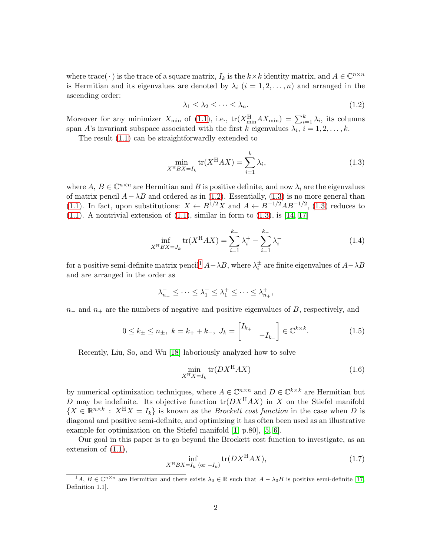where trace( $\cdot$ ) is the trace of a square matrix,  $I_k$  is the  $k \times k$  identity matrix, and  $A \in \mathbb{C}^{n \times n}$ is Hermitian and its eigenvalues are denoted by  $\lambda_i$   $(i = 1, 2, \ldots, n)$  and arranged in the ascending order:

<span id="page-1-0"></span>
$$
\lambda_1 \leq \lambda_2 \leq \cdots \leq \lambda_n. \tag{1.2}
$$

Moreover for any minimizer  $X_{\min}$  of [\(1.1\)](#page-0-0), i.e.,  $tr(X_{\min}^H AX_{\min}) = \sum_{i=1}^k \lambda_i$ , its columns span A's invariant subspace associated with the first k eigenvalues  $\lambda_i$ ,  $i = 1, 2, \ldots, k$ .

The result [\(1.1\)](#page-0-0) can be straightforwardly extended to

<span id="page-1-1"></span>
$$
\min_{X^{\mathrm{H}}BX = I_k} \operatorname{tr}(X^{\mathrm{H}}AX) = \sum_{i=1}^{k} \lambda_i,\tag{1.3}
$$

where  $A, B \in \mathbb{C}^{n \times n}$  are Hermitian and B is positive definite, and now  $\lambda_i$  are the eigenvalues of matrix pencil  $A-\lambda B$  and ordered as in [\(1.2\)](#page-1-0). Essentially, [\(1.3\)](#page-1-1) is no more general than [\(1.1\)](#page-0-0). In fact, upon substitutions:  $X \leftarrow B^{1/2} X$  and  $A \leftarrow B^{-1/2} AB^{-1/2}$ , [\(1.3\)](#page-1-1) reduces to  $(1.1)$ . A nontrivial extension of  $(1.1)$ , similar in form to  $(1.3)$ , is  $[14, 17]$  $[14, 17]$ 

$$
\inf_{X^{\mathrm{H}}BX = J_k} \mathrm{tr}(X^{\mathrm{H}}AX) = \sum_{i=1}^{k_+} \lambda_i^+ - \sum_{i=1}^{k_-} \lambda_i^- \tag{1.4}
$$

for a positive semi-definite matrix pencil<sup>[1](#page-1-2)</sup>  $A-\lambda B$ , where  $\lambda_i^{\pm}$  are finite eigenvalues of  $A-\lambda B$ and are arranged in the order as

$$
\lambda_{n_-}^- \le \dots \le \lambda_1^- \le \lambda_1^+ \le \dots \le \lambda_{n_+}^+,
$$

 $n_$  and  $n_+$  are the numbers of negative and positive eigenvalues of B, respectively, and

<span id="page-1-5"></span>
$$
0 \le k_{\pm} \le n_{\pm}, \ k = k_{+} + k_{-}, \ J_{k} = \begin{bmatrix} I_{k_{+}} & \\ & -I_{k_{-}} \end{bmatrix} \in \mathbb{C}^{k \times k}.
$$
 (1.5)

Recently, Liu, So, and Wu [\[18\]](#page-20-8) laboriously analyzed how to solve

<span id="page-1-4"></span>
$$
\min_{X^{\mathrm{H}} X = I_k} \text{tr}(DX^{\mathrm{H}} AX) \tag{1.6}
$$

by numerical optimization techniques, where  $A \in \mathbb{C}^{n \times n}$  and  $D \in \mathbb{C}^{k \times k}$  are Hermitian but D may be indefinite. Its objective function  $\text{tr}(DX^{H}AX)$  in X on the Stiefel manifold  ${X \in \mathbb{R}^{n \times k} : X^H X = I_k}$  is known as the *Brockett cost function* in the case when D is diagonal and positive semi-definite, and optimizing it has often been used as an illustrative example for optimization on the Stiefel manifold [\[1,](#page-19-6) p.80], [\[5,](#page-19-7) [6\]](#page-19-8).

Our goal in this paper is to go beyond the Brockett cost function to investigate, as an extension of [\(1.1\)](#page-0-0),

<span id="page-1-3"></span>
$$
\inf_{X^{\mathrm{H}}BX = I_k \text{ (or } -I_k)} \operatorname{tr}(DX^{\mathrm{H}}AX),\tag{1.7}
$$

<span id="page-1-2"></span> $A, B \in \mathbb{C}^{n \times n}$  are Hermitian and there exists  $\lambda_0 \in \mathbb{R}$  such that  $A - \lambda_0 B$  is positive semi-definite [\[17,](#page-20-7) Definition 1.1].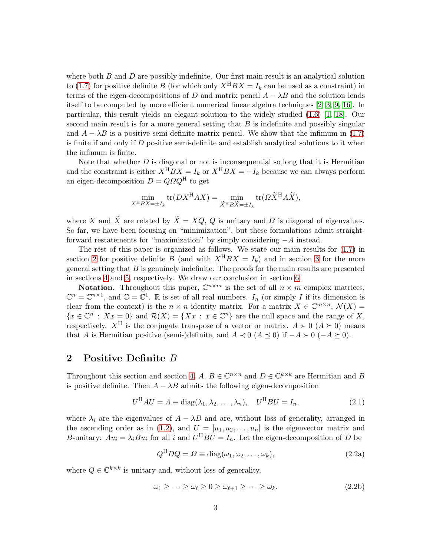where both  $B$  and  $D$  are possibly indefinite. Our first main result is an analytical solution to [\(1.7\)](#page-1-3) for positive definite B (for which only  $X^{H}BX = I_k$  can be used as a constraint) in terms of the eigen-decompositions of D and matrix pencil  $A - \lambda B$  and the solution lends itself to be computed by more efficient numerical linear algebra techniques [\[2,](#page-19-9) [3,](#page-19-10) [9,](#page-19-11) [16\]](#page-20-9). In particular, this result yields an elegant solution to the widely studied [\(1.6\)](#page-1-4) [\[1,](#page-19-6) [18\]](#page-20-8). Our second main result is for a more general setting that  $B$  is indefinite and possibly singular and  $A - \lambda B$  is a positive semi-definite matrix pencil. We show that the infimum in [\(1.7\)](#page-1-3) is finite if and only if  $D$  positive semi-definite and establish analytical solutions to it when the infimum is finite.

Note that whether  $D$  is diagonal or not is inconsequential so long that it is Hermitian and the constraint is either  $X^{H}BX = I_{k}$  or  $X^{H}BX = -I_{k}$  because we can always perform an eigen-decomposition  $D = QQ^{\text{H}}$  to get

$$
\min_{X^{\mathrm{H}}BX = \pm I_k} \text{tr}(DX^{\mathrm{H}}AX) = \min_{\widetilde{X}^{\mathrm{H}}B\widetilde{X} = \pm I_k} \text{tr}(\Omega \widetilde{X}^{\mathrm{H}}A\widetilde{X}),
$$

where X and  $\widetilde{X}$  are related by  $\widetilde{X} = XQ$ , Q is unitary and  $\Omega$  is diagonal of eigenvalues. So far, we have been focusing on "minimization", but these formulations admit straightforward restatements for "maximization" by simply considering −A instead.

The rest of this paper is organized as follows. We state our main results for [\(1.7\)](#page-1-3) in section [2](#page-2-0) for positive definite B (and with  $X^{H}BX = I_k$ ) and in section [3](#page-4-0) for the more general setting that  $B$  is genuinely indefinite. The proofs for the main results are presented in sections [4](#page-8-0) and [5,](#page-13-0) respectively. We draw our conclusion in section [6.](#page-18-0)

**Notation.** Throughout this paper,  $\mathbb{C}^{n \times m}$  is the set of all  $n \times m$  complex matrices,  $\mathbb{C}^n = \mathbb{C}^{n \times 1}$ , and  $\mathbb{C} = \mathbb{C}^1$ . R is set of all real numbers.  $I_n$  (or simply I if its dimension is clear from the context) is the  $n \times n$  identity matrix. For a matrix  $X \in \mathbb{C}^{m \times n}$ ,  $\mathcal{N}(X) =$  ${x \in \mathbb{C}^n : Xx = 0}$  and  $\mathcal{R}(X) = {Xx : x \in \mathbb{C}^n}$  are the null space and the range of X, respectively.  $X^H$  is the conjugate transpose of a vector or matrix.  $A \succ 0$   $(A \succeq 0)$  means that A is Hermitian positive (semi-)definite, and  $A \prec 0$  ( $A \preceq 0$ ) if  $-A \succ 0$  ( $-A \succeq 0$ ).

### <span id="page-2-0"></span>2 Positive Definite B

Throughout this section and section [4,](#page-8-0)  $A, B \in \mathbb{C}^{n \times n}$  and  $D \in \mathbb{C}^{k \times k}$  are Hermitian and B is positive definite. Then  $A - \lambda B$  admits the following eigen-decomposition

<span id="page-2-1"></span>
$$
U^{H}AU = \Lambda \equiv \text{diag}(\lambda_1, \lambda_2, \dots, \lambda_n), \quad U^{H}BU = I_n,
$$
\n(2.1)

where  $\lambda_i$  are the eigenvalues of  $A - \lambda B$  and are, without loss of generality, arranged in the ascending order as in [\(1.2\)](#page-1-0), and  $U = [u_1, u_2, \dots, u_n]$  is the eigenvector matrix and B-unitary:  $Au_i = \lambda_i Bu_i$  for all i and  $U^H BU = I_n$ . Let the eigen-decomposition of D be

<span id="page-2-2"></span>
$$
Q^{\mathrm{H}} D Q = \Omega \equiv \text{diag}(\omega_1, \omega_2, \dots, \omega_k), \tag{2.2a}
$$

where  $Q \in \mathbb{C}^{k \times k}$  is unitary and, without loss of generality,

$$
\omega_1 \geq \cdots \geq \omega_\ell \geq 0 \geq \omega_{\ell+1} \geq \cdots \geq \omega_k. \tag{2.2b}
$$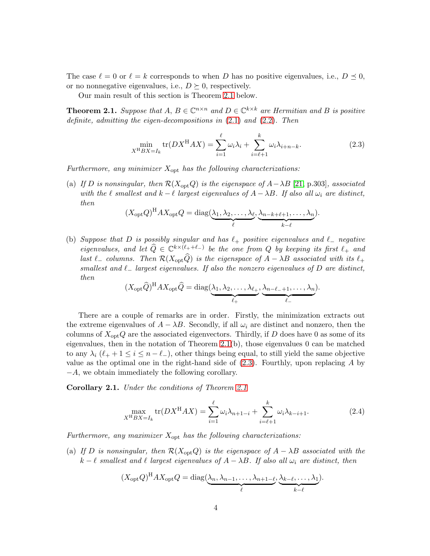The case  $\ell = 0$  or  $\ell = k$  corresponds to when D has no positive eigenvalues, i.e.,  $D \preceq 0$ , or no nonnegative eigenvalues, i.e.,  $D \succeq 0$ , respectively.

Our main result of this section is Theorem [2.1](#page-3-0) below.

<span id="page-3-0"></span>**Theorem 2.1.** *Suppose that*  $A, B \in \mathbb{C}^{n \times n}$  *and*  $D \in \mathbb{C}^{k \times k}$  *are Hermitian and*  $B$  *is positive definite, admitting the eigen-decompositions in* [\(2.1\)](#page-2-1) *and* [\(2.2\)](#page-2-2)*. Then*

<span id="page-3-1"></span>
$$
\min_{X^{\mathrm{H}}BX = I_k} \text{tr}(DX^{\mathrm{H}}AX) = \sum_{i=1}^{\ell} \omega_i \lambda_i + \sum_{i=\ell+1}^{k} \omega_i \lambda_{i+n-k}.
$$
\n(2.3)

*Furthermore, any minimizer* Xopt *has the following characterizations:*

(a) *If* D is nonsingular, then  $\mathcal{R}(X_{\text{opt}}Q)$  is the eigenspace of  $A-\lambda B$  [\[21,](#page-20-10) p.303], associated *with the*  $\ell$  *smallest and*  $k - \ell$  *largest eigenvalues of*  $A - \lambda B$ *. If also all*  $\omega_i$  *are distinct, then*

$$
(X_{\mathrm{opt}}Q)^{\mathrm{H}}AX_{\mathrm{opt}}Q = \mathrm{diag}(\underbrace{\lambda_1, \lambda_2, \ldots, \lambda_\ell}_{\ell}, \underbrace{\lambda_{n-k+\ell+1}, \ldots, \lambda_n}_{k-\ell}).
$$

(b) *Suppose that* D *is possibly singular and has* ℓ<sup>+</sup> *positive eigenvalues and* ℓ<sup>−</sup> *negative eigenvalues, and let*  $\widehat{Q} \in \mathbb{C}^{k \times (\ell_++\ell_-)}$  *be the one from*  $Q$  *by keeping its first*  $\ell_+$  *and last*  $ℓ$  *columns. Then*  $\mathcal{R}(X_{\text{opt}}\hat{Q})$  *is the eigenspace of*  $A - \lambda B$  *associated with its*  $ℓ$ <sub>+</sub> *smallest and* ℓ<sup>−</sup> *largest eigenvalues. If also the nonzero eigenvalues of* D *are distinct, then*

$$
(X_{\rm opt}\widehat{Q})^{\rm H}AX_{\rm opt}\widehat{Q} = \text{diag}(\underbrace{\lambda_1, \lambda_2, \dots, \lambda_{\ell}}_{\ell_+}, \underbrace{\lambda_{n-\ell_-+1}, \dots, \lambda_n}_{\ell_-}).
$$

There are a couple of remarks are in order. Firstly, the minimization extracts out the extreme eigenvalues of  $A - \lambda B$ . Secondly, if all  $\omega_i$  are distinct and nonzero, then the columns of  $X_{\text{opt}}Q$  are the associated eigenvectors. Thirdly, if D does have 0 as some of its eigenvalues, then in the notation of Theorem  $2.1(b)$ , those eigenvalues 0 can be matched to any  $\lambda_i$  ( $\ell_+ + 1 \leq i \leq n - \ell_$ ), other things being equal, to still yield the same objective value as the optimal one in the right-hand side of  $(2.3)$ . Fourthly, upon replacing A by −A, we obtain immediately the following corollary.

Corollary 2.1. *Under the conditions of Theorem [2.1](#page-3-0)*

$$
\max_{X^{H}BX = I_{k}} \text{tr}(DX^{H}AX) = \sum_{i=1}^{\ell} \omega_{i} \lambda_{n+1-i} + \sum_{i=\ell+1}^{k} \omega_{i} \lambda_{k-i+1}.
$$
 (2.4)

*Furthermore, any maximizer* Xopt *has the following characterizations:*

(a) *If* D *is nonsingular, then*  $\mathcal{R}(X_{opt}Q)$  *is the eigenspace of*  $A - \lambda B$  *associated with the*  $k - \ell$  *smallest and*  $\ell$  *largest eigenvalues of*  $A - \lambda B$ *. If also all*  $\omega_i$  *are distinct, then* 

$$
(X_{\rm opt}Q)^{\rm H}AX_{\rm opt}Q = \text{diag}(\underbrace{\lambda_n, \lambda_{n-1}, \dots, \lambda_{n+1-\ell}}_{\ell}, \underbrace{\lambda_{k-\ell}, \dots, \lambda_1}_{k-\ell}).
$$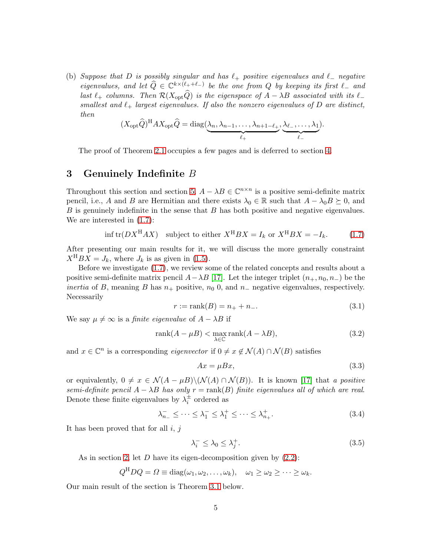(b) *Suppose that* D *is possibly singular and has* ℓ<sup>+</sup> *positive eigenvalues and* ℓ<sup>−</sup> *negative eigenvalues, and let*  $\widehat{Q} \in \mathbb{C}^{k \times (\ell_++\ell_-)}$  *be the one from*  $Q$  *by keeping its first*  $\ell_-$  *and last*  $\ell_+$  *columns. Then*  $\mathcal{R}(X_{\text{opt}}\hat{Q})$  *is the eigenspace of*  $A - \lambda B$  *associated with its*  $\ell_$ *smallest and*  $\ell_+$  *largest eigenvalues. If also the nonzero eigenvalues of*  $D$  *are distinct, then*

$$
(X_{\rm opt}\widehat{Q})^{\rm H}AX_{\rm opt}\widehat{Q}={\rm diag}(\underbrace{\lambda_n,\lambda_{n-1},\ldots,\lambda_{n+1-\ell}}_{\ell_+},\underbrace{\lambda_{\ell_-},\ldots,\lambda_1}_{\ell_-}).
$$

The proof of Theorem [2.1](#page-3-0) occupies a few pages and is deferred to section [4.](#page-8-0)

### <span id="page-4-0"></span>3 Genuinely Indefinite B

Throughout this section and section [5,](#page-13-0)  $A - \lambda B \in \mathbb{C}^{n \times n}$  is a positive semi-definite matrix pencil, i.e., A and B are Hermitian and there exists  $\lambda_0 \in \mathbb{R}$  such that  $A - \lambda_0 B \succeq 0$ , and  $B$  is genuinely indefinite in the sense that  $B$  has both positive and negative eigenvalues. We are interested in [\(1.7\)](#page-1-3):

$$
\inf \text{tr}(DX^{\text{H}}AX) \quad \text{subject to either } X^{\text{H}}BX = I_k \text{ or } X^{\text{H}}BX = -I_k. \tag{1.7}
$$

After presenting our main results for it, we will discuss the more generally constraint  $X^{H}BX = J_k$ , where  $J_k$  is as given in [\(1.5\)](#page-1-5).

Before we investigate [\(1.7\)](#page-1-3), we review some of the related concepts and results about a positive semi-definite matrix pencil  $A-\lambda B$  [\[17\]](#page-20-7). Let the integer triplet  $(n_+, n_0, n_-)$  be the *inertia* of B, meaning B has  $n_+$  positive,  $n_0$  0, and  $n_-$  negative eigenvalues, respectively. Necessarily

$$
r := \text{rank}(B) = n_+ + n_-. \tag{3.1}
$$

We say  $\mu \neq \infty$  is a *finite eigenvalue* of  $A - \lambda B$  if

$$
rank(A - \mu B) < \max_{\lambda \in \mathbb{C}} rank(A - \lambda B), \tag{3.2}
$$

and  $x \in \mathbb{C}^n$  is a corresponding *eigenvector* if  $0 \neq x \notin \mathcal{N}(A) \cap \mathcal{N}(B)$  satisfies

$$
Ax = \mu Bx,\tag{3.3}
$$

or equivalently,  $0 \neq x \in \mathcal{N}(A - \mu B) \setminus (\mathcal{N}(A) \cap \mathcal{N}(B))$ . It is known [\[17\]](#page-20-7) that *a positive*  $semi-definite\ pencil\ A - \lambda B\ has\ only\ r = rank(B)\ finite\ eigenvalues\ all\ of\ which\ are\ real.$ Denote these finite eigenvalues by  $\lambda_i^{\pm}$  ordered as

$$
\lambda_{n_-}^- \le \dots \le \lambda_1^- \le \lambda_1^+ \le \dots \le \lambda_{n_+}^+.
$$
\n(3.4)

It has been proved that for all  $i, j$ 

<span id="page-4-1"></span>
$$
\lambda_i^- \le \lambda_0 \le \lambda_j^+.\tag{3.5}
$$

As in section [2,](#page-2-0) let  $D$  have its eigen-decomposition given by  $(2.2)$ :

$$
Q^{\mathrm{H}} D Q = \Omega \equiv \mathrm{diag}(\omega_1, \omega_2, \dots, \omega_k), \quad \omega_1 \geq \omega_2 \geq \dots \geq \omega_k.
$$

Our main result of the section is Theorem [3.1](#page-5-0) below.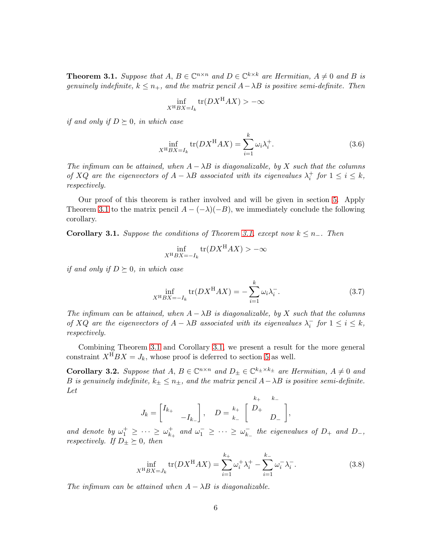<span id="page-5-0"></span>**Theorem 3.1.** *Suppose that*  $A, B \in \mathbb{C}^{n \times n}$  *and*  $D \in \mathbb{C}^{k \times k}$  *are Hermitian,*  $A \neq 0$  *and*  $B$  *is genuinely indefinite,*  $k \leq n_+$ *, and the matrix pencil*  $A - \lambda B$  *is positive semi-definite. Then* 

$$
\inf_{X^{\mathrm{H}}BX = I_k} \operatorname{tr}(DX^{\mathrm{H}}AX) > -\infty
$$

*if and only if*  $D \succeq 0$ *, in which case* 

$$
\inf_{X^{\mathrm{H}}BX = I_k} \operatorname{tr}(DX^{\mathrm{H}}AX) = \sum_{i=1}^{k} \omega_i \lambda_i^+.
$$
\n(3.6)

*The infimum can be attained, when*  $A - \lambda B$  *is diagonalizable, by* X *such that the columns of*  $XQ$  *are the eigenvectors of*  $A - \lambda B$  *associated with its eigenvalues*  $\lambda_i^+$  *for*  $1 \le i \le k$ *, respectively.*

Our proof of this theorem is rather involved and will be given in section [5.](#page-13-0) Apply Theorem [3.1](#page-5-0) to the matrix pencil  $A - (-\lambda)(-B)$ , we immediately conclude the following corollary.

<span id="page-5-1"></span>**Corollary 3.1.** *Suppose the conditions of Theorem [3.1,](#page-5-0) except now*  $k ≤ n_−$ *. Then* 

$$
\inf_{X^{\mathrm{H}}BX = -I_k} \operatorname{tr}(DX^{\mathrm{H}}AX) > -\infty
$$

*if and only if*  $D \succeq 0$ *, in which case* 

$$
\inf_{X^{\mathrm{H}}BX = -I_k} \operatorname{tr}(DX^{\mathrm{H}}AX) = -\sum_{i=1}^k \omega_i \lambda_i^-. \tag{3.7}
$$

*The infimum can be attained, when*  $A - \lambda B$  *is diagonalizable, by* X *such that the columns of*  $XQ$  *are the eigenvectors of*  $A - \lambda B$  *associated with its eigenvalues*  $\lambda_i^-$  *for*  $1 \le i \le k$ *, respectively.*

Combining Theorem [3.1](#page-5-0) and Corollary [3.1,](#page-5-1) we present a result for the more general constraint  $X^{H}BX = J_k$ , whose proof is deferred to section [5](#page-13-0) as well.

<span id="page-5-2"></span>**Corollary 3.2.** Suppose that  $A, B \in \mathbb{C}^{n \times n}$  and  $D_{\pm} \in \mathbb{C}^{k_{\pm} \times k_{\pm}}$  are Hermitian,  $A \neq 0$  and B is genuinely indefinite,  $k_{\pm} \leq n_{\pm}$ , and the matrix pencil  $A - \lambda B$  is positive semi-definite. *Let*

$$
J_k = \begin{bmatrix} I_{k+} & & \\ & -I_{k-} \end{bmatrix}, \quad D = \begin{bmatrix} k_+ & k_- \\ k_- & \\ & D_- \end{bmatrix},
$$

*and denote by*  $\omega_1^+ \geq \cdots \geq \omega_{k}^+$  $\mu_{k+}^+$  and  $\omega_1^- \geq \cdots \geq \omega_{k+}^ \bar{k}_-$  the eigenvalues of  $D_+$  and  $D_-,$ *respectively.* If  $D_{\pm} \succeq 0$ *, then* 

<span id="page-5-3"></span>
$$
\inf_{X^{\mathrm{H}}BX = J_k} \text{tr}(DX^{\mathrm{H}}AX) = \sum_{i=1}^{k_+} \omega_i^+ \lambda_i^+ - \sum_{i=1}^{k_-} \omega_i^- \lambda_i^-.
$$
 (3.8)

*The infimum can be attained when*  $A - \lambda B$  *is diagonalizable.*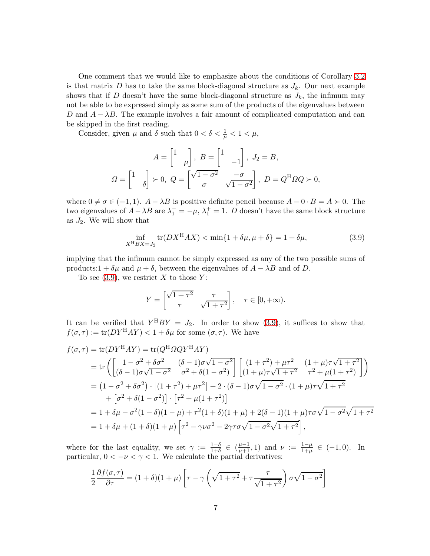One comment that we would like to emphasize about the conditions of Corollary [3.2](#page-5-2) is that matrix D has to take the same block-diagonal structure as  $J_k$ . Our next example shows that if D doesn't have the same block-diagonal structure as  $J_k$ , the infimum may not be able to be expressed simply as some sum of the products of the eigenvalues between D and  $A - \lambda B$ . The example involves a fair amount of complicated computation and can be skipped in the first reading.

Consider, given  $\mu$  and  $\delta$  such that  $0 < \delta < \frac{1}{\mu} < 1 < \mu$ ,

$$
A = \begin{bmatrix} 1 & 0 \\ 0 & \mu \end{bmatrix}, B = \begin{bmatrix} 1 & 0 \\ 0 & -1 \end{bmatrix}, J_2 = B,
$$
  

$$
\Omega = \begin{bmatrix} 1 & 0 \\ 0 & \mu \end{bmatrix} \succ 0, Q = \begin{bmatrix} \sqrt{1 - \sigma^2} & -\sigma \\ \sigma & \sqrt{1 - \sigma^2} \end{bmatrix}, D = Q^{\rm H} \Omega Q \succ 0,
$$

where  $0 \neq \sigma \in (-1, 1)$ .  $A - \lambda B$  is positive definite pencil because  $A - 0 \cdot B = A \succ 0$ . The two eigenvalues of  $A - \lambda B$  are  $\lambda_1^- = -\mu$ ,  $\lambda_1^+ = 1$ . D doesn't have the same block structure as  $J_2$ . We will show that

<span id="page-6-0"></span>
$$
\inf_{X^{\mathrm{H}}BX = J_2} \text{tr}(DX^{\mathrm{H}}AX) < \min\{1 + \delta\mu, \mu + \delta\} = 1 + \delta\mu,\tag{3.9}
$$

implying that the infimum cannot be simply expressed as any of the two possible sums of products:1 +  $\delta \mu$  and  $\mu + \delta$ , between the eigenvalues of  $A - \lambda B$  and of D.

To see  $(3.9)$ , we restrict X to those Y:

$$
Y = \begin{bmatrix} \sqrt{1+\tau^2} & \tau \\ \tau & \sqrt{1+\tau^2} \end{bmatrix}, \quad \tau \in [0, +\infty).
$$

It can be verified that  $Y^{H}BY = J_{2}$ . In order to show [\(3.9\)](#page-6-0), it suffices to show that  $f(\sigma, \tau) := \text{tr}(DY^{\text{H}}AY) < 1 + \delta\mu$  for some  $(\sigma, \tau)$ . We have

$$
f(\sigma,\tau) = \text{tr}(DY^{\text{H}}AY) = \text{tr}(Q^{\text{H}}QQY^{\text{H}}AY)
$$
  
= 
$$
\text{tr}\left(\begin{bmatrix} 1 - \sigma^2 + \delta\sigma^2 & (\delta - 1)\sigma\sqrt{1 - \sigma^2} \\ (\delta - 1)\sigma\sqrt{1 - \sigma^2} & \sigma^2 + \delta(1 - \sigma^2) \end{bmatrix} \begin{bmatrix} (1 + \tau^2) + \mu\tau^2 & (1 + \mu)\tau\sqrt{1 + \tau^2} \\ (1 + \mu)\tau\sqrt{1 + \tau^2} & \tau^2 + \mu(1 + \tau^2) \end{bmatrix}\right)
$$
  
= 
$$
(1 - \sigma^2 + \delta\sigma^2) \cdot \left[ (1 + \tau^2) + \mu\tau^2 \right] + 2 \cdot (\delta - 1)\sigma\sqrt{1 - \sigma^2} \cdot (1 + \mu)\tau\sqrt{1 + \tau^2}
$$
  
+ 
$$
[\sigma^2 + \delta(1 - \sigma^2)] \cdot [\tau^2 + \mu(1 + \tau^2)]
$$
  
= 
$$
1 + \delta\mu - \sigma^2(1 - \delta)(1 - \mu) + \tau^2(1 + \delta)(1 + \mu) + 2(\delta - 1)(1 + \mu)\tau\sigma\sqrt{1 - \sigma^2}\sqrt{1 + \tau^2}
$$
  
= 
$$
1 + \delta\mu + (1 + \delta)(1 + \mu) [\tau^2 - \gamma\nu\sigma^2 - 2\gamma\tau\sigma\sqrt{1 - \sigma^2}\sqrt{1 + \tau^2}],
$$

where for the last equality, we set  $\gamma := \frac{1-\delta}{1+\delta} \in (\frac{\mu-1}{\mu+1}, 1)$  and  $\nu := \frac{1-\mu}{1+\mu}$  $\frac{1-\mu}{1+\mu} \in (-1,0)$ . In particular,  $0 < -\nu < \gamma < 1$ . We calculate the partial derivatives:

$$
\frac{1}{2}\frac{\partial f(\sigma,\tau)}{\partial \tau} = (1+\delta)(1+\mu)\left[\tau - \gamma\left(\sqrt{1+\tau^2} + \tau\frac{\tau}{\sqrt{1+\tau^2}}\right)\sigma\sqrt{1-\sigma^2}\right]
$$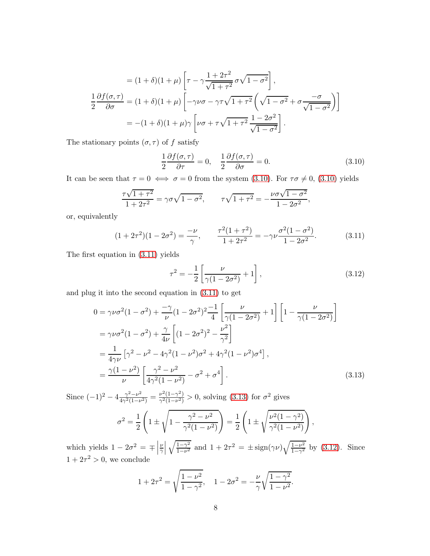$$
= (1+\delta)(1+\mu)\left[\tau-\gamma\frac{1+2\tau^2}{\sqrt{1+\tau^2}}\sigma\sqrt{1-\sigma^2}\right],
$$
  

$$
\frac{1}{2}\frac{\partial f(\sigma,\tau)}{\partial\sigma} = (1+\delta)(1+\mu)\left[-\gamma\nu\sigma-\gamma\tau\sqrt{1+\tau^2}\left(\sqrt{1-\sigma^2}+\sigma\frac{-\sigma}{\sqrt{1-\sigma^2}}\right)\right]
$$
  

$$
= -(1+\delta)(1+\mu)\gamma\left[\nu\sigma + \tau\sqrt{1+\tau^2}\frac{1-2\sigma^2}{\sqrt{1-\sigma^2}}\right].
$$

The stationary points  $(\sigma,\tau)$  of  $f$  satisfy

<span id="page-7-0"></span>
$$
\frac{1}{2}\frac{\partial f(\sigma,\tau)}{\partial \tau} = 0, \quad \frac{1}{2}\frac{\partial f(\sigma,\tau)}{\partial \sigma} = 0.
$$
\n(3.10)

It can be seen that  $\tau = 0 \iff \sigma = 0$  from the system [\(3.10\)](#page-7-0). For  $\tau \sigma \neq 0$ , (3.10) yields

$$
\frac{\tau\sqrt{1+\tau^2}}{1+2\tau^2} = \gamma\sigma\sqrt{1-\sigma^2}, \qquad \tau\sqrt{1+\tau^2} = -\frac{\nu\sigma\sqrt{1-\sigma^2}}{1-2\sigma^2},
$$

or, equivalently

<span id="page-7-1"></span>
$$
(1+2\tau^2)(1-2\sigma^2) = \frac{-\nu}{\gamma}, \qquad \frac{\tau^2(1+\tau^2)}{1+2\tau^2} = -\gamma\nu\frac{\sigma^2(1-\sigma^2)}{1-2\sigma^2}.
$$
 (3.11)

The first equation in [\(3.11\)](#page-7-1) yields

<span id="page-7-3"></span><span id="page-7-2"></span>
$$
\tau^2 = -\frac{1}{2} \left[ \frac{\nu}{\gamma (1 - 2\sigma^2)} + 1 \right],
$$
\n(3.12)

and plug it into the second equation in [\(3.11\)](#page-7-1) to get

$$
0 = \gamma \nu \sigma^2 (1 - \sigma^2) + \frac{-\gamma}{\nu} (1 - 2\sigma^2)^2 \frac{-1}{4} \left[ \frac{\nu}{\gamma (1 - 2\sigma^2)} + 1 \right] \left[ 1 - \frac{\nu}{\gamma (1 - 2\sigma^2)} \right]
$$
  
=  $\gamma \nu \sigma^2 (1 - \sigma^2) + \frac{\gamma}{4\nu} \left[ (1 - 2\sigma^2)^2 - \frac{\nu^2}{\gamma^2} \right]$   
=  $\frac{1}{4\gamma \nu} \left[ \gamma^2 - \nu^2 - 4\gamma^2 (1 - \nu^2) \sigma^2 + 4\gamma^2 (1 - \nu^2) \sigma^4 \right],$   
=  $\frac{\gamma (1 - \nu^2)}{\nu} \left[ \frac{\gamma^2 - \nu^2}{4\gamma^2 (1 - \nu^2)} - \sigma^2 + \sigma^4 \right].$  (3.13)

Since  $(-1)^2 - 4\frac{\gamma^2 - \nu^2}{4\gamma^2(1-\nu)}$  $\frac{\gamma^2-\nu^2}{4\gamma^2(1-\nu^2)}=\frac{\nu^2(1-\gamma^2)}{\gamma^2(1-\nu^2)}$  $\frac{\nu^2(1-\gamma^2)}{\gamma^2(1-\nu^2)} > 0$ , solving [\(3.13\)](#page-7-2) for  $\sigma^2$  gives

$$
\sigma^2 = \frac{1}{2} \left( 1 \pm \sqrt{1 - \frac{\gamma^2 - \nu^2}{\gamma^2 (1 - \nu^2)}} \right) = \frac{1}{2} \left( 1 \pm \sqrt{\frac{\nu^2 (1 - \gamma^2)}{\gamma^2 (1 - \nu^2)}} \right),
$$

which yields  $1 - 2\sigma^2 = \mp$ ν γ  $\sqrt{1-\gamma^2}$  $\frac{\overline{1-\gamma^2}}{1-\nu^2}$  and  $1+2\tau^2 = \pm \text{sign}(\gamma \nu) \sqrt{\frac{1-\nu^2}{1-\gamma^2}}$  $\frac{1-\nu^2}{1-\gamma^2}$  by [\(3.12\)](#page-7-3). Since  $1+2\tau^2>0$ , we conclude

$$
1 + 2\tau^{2} = \sqrt{\frac{1 - \nu^{2}}{1 - \gamma^{2}}}, \quad 1 - 2\sigma^{2} = -\frac{\nu}{\gamma}\sqrt{\frac{1 - \gamma^{2}}{1 - \nu^{2}}}.
$$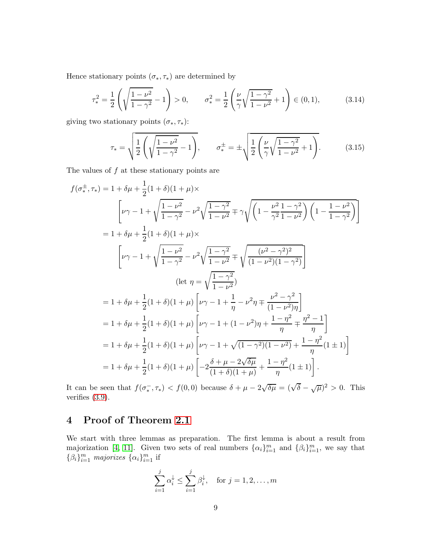Hence stationary points  $(\sigma_*, \tau_*)$  are determined by

$$
\tau_*^2 = \frac{1}{2} \left( \sqrt{\frac{1 - \nu^2}{1 - \gamma^2}} - 1 \right) > 0, \qquad \sigma_*^2 = \frac{1}{2} \left( \frac{\nu}{\gamma} \sqrt{\frac{1 - \gamma^2}{1 - \nu^2}} + 1 \right) \in (0, 1), \tag{3.14}
$$

giving two stationary points  $(\sigma_*, \tau_*)$ :

$$
\tau_* = \sqrt{\frac{1}{2} \left( \sqrt{\frac{1 - \nu^2}{1 - \gamma^2}} - 1 \right)}, \qquad \sigma_*^{\pm} = \pm \sqrt{\frac{1}{2} \left( \frac{\nu}{\gamma} \sqrt{\frac{1 - \gamma^2}{1 - \nu^2}} + 1 \right)}. \tag{3.15}
$$

The values of  $f$  at these stationary points are

$$
f(\sigma^{\pm}_{*}, \tau_{*}) = 1 + \delta \mu + \frac{1}{2} (1 + \delta)(1 + \mu) \times
$$
\n
$$
\left[ \nu \gamma - 1 + \sqrt{\frac{1 - \nu^{2}}{1 - \gamma^{2}}} - \nu^{2} \sqrt{\frac{1 - \gamma^{2}}{1 - \nu^{2}}} \mp \gamma \sqrt{\left( 1 - \frac{\nu^{2}}{\gamma^{2}} \frac{1 - \gamma^{2}}{1 - \nu^{2}} \right) \left( 1 - \frac{1 - \nu^{2}}{1 - \gamma^{2}} \right)} \right]
$$
\n
$$
= 1 + \delta \mu + \frac{1}{2} (1 + \delta)(1 + \mu) \times
$$
\n
$$
\left[ \nu \gamma - 1 + \sqrt{\frac{1 - \nu^{2}}{1 - \gamma^{2}}} - \nu^{2} \sqrt{\frac{1 - \gamma^{2}}{1 - \nu^{2}}} \mp \sqrt{\frac{(\nu^{2} - \gamma^{2})^{2}}{(1 - \nu^{2})(1 - \gamma^{2})}} \right]
$$
\n
$$
\left( \text{let } \eta = \sqrt{\frac{1 - \gamma^{2}}{1 - \nu^{2}}} \right)
$$
\n
$$
= 1 + \delta \mu + \frac{1}{2} (1 + \delta)(1 + \mu) \left[ \nu \gamma - 1 + \frac{1}{\eta} - \nu^{2} \eta \mp \frac{\nu^{2} - \gamma^{2}}{(1 - \nu^{2}) \eta} \right]
$$
\n
$$
= 1 + \delta \mu + \frac{1}{2} (1 + \delta)(1 + \mu) \left[ \nu \gamma - 1 + (1 - \nu^{2}) \eta + \frac{1 - \eta^{2}}{\eta} \mp \frac{\eta^{2} - 1}{\eta} \right]
$$
\n
$$
= 1 + \delta \mu + \frac{1}{2} (1 + \delta)(1 + \mu) \left[ \nu \gamma - 1 + \sqrt{(1 - \gamma^{2})(1 - \nu^{2})} + \frac{1 - \eta^{2}}{\eta} (1 \pm 1) \right]
$$
\n
$$
= 1 + \delta \mu + \frac{1}{2} (1 + \delta)(1 + \mu) \left[ -2 \frac{\delta + \mu - 2\sqrt{\delta \mu}}{(1 + \delta)(1 + \mu)} + \frac{1 - \eta^{2}}{\eta} (1 \pm 1) \right].
$$

It can be seen that  $f(\sigma_*^-,\tau_*) < f(0,0)$  because  $\delta + \mu - 2\sqrt{\delta\mu} = (\sqrt{\delta} - \sqrt{\mu})^2 > 0$ . This verifies [\(3.9\)](#page-6-0).

## <span id="page-8-0"></span>4 Proof of Theorem [2.1](#page-3-0)

We start with three lemmas as preparation. The first lemma is about a result from majorization [\[4,](#page-19-12) [11\]](#page-19-4). Given two sets of real numbers  $\{\alpha_i\}_{i=1}^m$  and  $\{\beta_i\}_{i=1}^m$ , we say that  $\{\beta_i\}_{i=1}^m$  *majorizes*  $\{\alpha_i\}_{i=1}^m$  if

$$
\sum_{i=1}^{j} \alpha_i^{\downarrow} \le \sum_{i=1}^{j} \beta_i^{\downarrow}, \quad \text{for } j = 1, 2, \dots, m
$$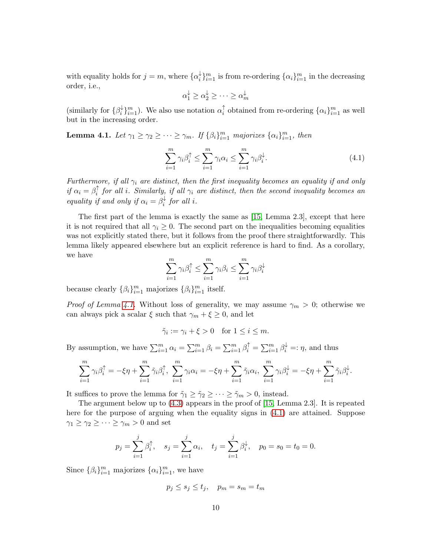with equality holds for  $j = m$ , where  $\{\alpha_i^{\downarrow}$  $\binom{k}{i}$ <sub>i<sup>m</sup></sup><sub>i</sub> is from re-ordering  $\{\alpha_i\}_{i=1}^m$  in the decreasing</sub> order, i.e.,

$$
\alpha_1^{\downarrow} \ge \alpha_2^{\downarrow} \ge \cdots \ge \alpha_m^{\downarrow}
$$

(similarly for  $\{\beta_i^{\downarrow}$  $\downarrow_{i}^{m}$   $\downarrow_{i=1}^{m}$ ). We also use notation  $\alpha_{i}^{\uparrow}$  $\int_{i}^{\uparrow}$  obtained from re-ordering  $\{\alpha_i\}_{i=1}^{m}$  as well but in the increasing order.

<span id="page-9-0"></span>**Lemma 4.1.** Let  $\gamma_1 \geq \gamma_2 \geq \cdots \geq \gamma_m$ . If  $\{\beta_i\}_{i=1}^m$  majorizes  $\{\alpha_i\}_{i=1}^m$ , then

<span id="page-9-1"></span>
$$
\sum_{i=1}^{m} \gamma_i \beta_i^{\uparrow} \le \sum_{i=1}^{m} \gamma_i \alpha_i \le \sum_{i=1}^{m} \gamma_i \beta_i^{\downarrow}.
$$
\n(4.1)

*Furthermore, if all* γ<sup>i</sup> *are distinct, then the first inequality becomes an equality if and only if*  $\alpha_i = \beta_i^{\uparrow}$  $\hat{a}^{\dagger}$  for all *i*. Similarly, if all  $\gamma_i$  are distinct, then the second inequality becomes an *equality if and only if*  $\alpha_i = \beta_i^{\downarrow}$  $\int_{i}^{4}$  *for all i.* 

The first part of the lemma is exactly the same as [\[15,](#page-19-13) Lemma 2.3], except that here it is not required that all  $\gamma_i \geq 0$ . The second part on the inequalities becoming equalities was not explicitly stated there, but it follows from the proof there straightforwardly. This lemma likely appeared elsewhere but an explicit reference is hard to find. As a corollary, we have

$$
\sum_{i=1}^{m} \gamma_i \beta_i^{\uparrow} \le \sum_{i=1}^{m} \gamma_i \beta_i \le \sum_{i=1}^{m} \gamma_i \beta_i^{\downarrow}
$$

because clearly  $\{\beta_i\}_{i=1}^m$  majorizes  $\{\beta_i\}_{i=1}^m$  itself.

*Proof of Lemma [4.1.](#page-9-0)* Without loss of generality, we may assume  $\gamma_m > 0$ ; otherwise we can always pick a scalar  $\xi$  such that  $\gamma_m + \xi \geq 0$ , and let

$$
\tilde{\gamma}_i := \gamma_i + \xi > 0 \quad \text{for } 1 \le i \le m.
$$

By assumption, we have  $\sum_{i=1}^{m} \alpha_i = \sum_{i=1}^{m} \beta_i = \sum_{i=1}^{m} \beta_i^{\dagger} = \sum_{i=1}^{m} \beta_i^{\downarrow} =: \eta$ , and thus

$$
\sum_{i=1}^m \gamma_i \beta_i^{\uparrow} = -\xi \eta + \sum_{i=1}^m \tilde{\gamma}_i \beta_i^{\uparrow}, \ \sum_{i=1}^m \gamma_i \alpha_i = -\xi \eta + \sum_{i=1}^m \tilde{\gamma}_i \alpha_i, \ \sum_{i=1}^m \gamma_i \beta_i^{\downarrow} = -\xi \eta + \sum_{i=1}^m \tilde{\gamma}_i \beta_i^{\downarrow}.
$$

It suffices to prove the lemma for  $\tilde{\gamma}_1 \geq \tilde{\gamma}_2 \geq \cdots \geq \tilde{\gamma}_m > 0$ , instead.

The argument below up to [\(4.3\)](#page-10-0) appears in the proof of [\[15,](#page-19-13) Lemma 2.3]. It is repeated here for the purpose of arguing when the equality signs in [\(4.1\)](#page-9-1) are attained. Suppose  $\gamma_1 \geq \gamma_2 \geq \cdots \geq \gamma_m > 0$  and set

$$
p_j = \sum_{i=1}^j \beta_i^{\uparrow}, \quad s_j = \sum_{i=1}^j \alpha_i, \quad t_j = \sum_{i=1}^j \beta_i^{\downarrow}, \quad p_0 = s_0 = t_0 = 0.
$$

Since  $\{\beta_i\}_{i=1}^m$  majorizes  $\{\alpha_i\}_{i=1}^m$ , we have

$$
p_j \le s_j \le t_j, \quad p_m = s_m = t_m
$$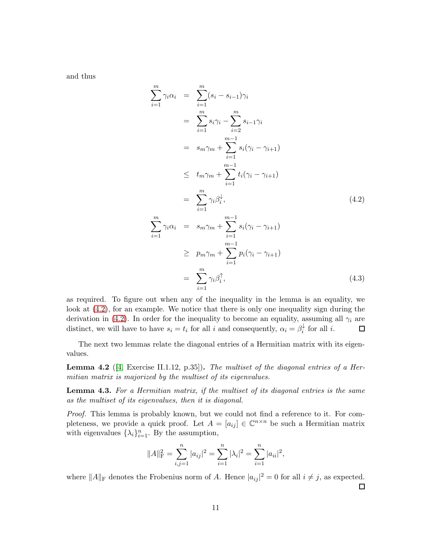and thus

<span id="page-10-0"></span>
$$
\sum_{i=1}^{m} \gamma_i \alpha_i = \sum_{i=1}^{m} (s_i - s_{i-1}) \gamma_i
$$
  
\n
$$
= \sum_{i=1}^{m} s_i \gamma_i - \sum_{i=2}^{m} s_{i-1} \gamma_i
$$
  
\n
$$
= s_m \gamma_m + \sum_{i=1}^{m-1} s_i (\gamma_i - \gamma_{i+1})
$$
  
\n
$$
\leq t_m \gamma_m + \sum_{i=1}^{m-1} t_i (\gamma_i - \gamma_{i+1})
$$
  
\n
$$
= \sum_{i=1}^{m} \gamma_i \beta_i^{\downarrow}, \qquad (4.2)
$$
  
\n
$$
\sum_{i=1}^{m} \gamma_i \alpha_i = s_m \gamma_m + \sum_{i=1}^{m-1} s_i (\gamma_i - \gamma_{i+1})
$$
  
\n
$$
\geq p_m \gamma_m + \sum_{i=1}^{m-1} p_i (\gamma_i - \gamma_{i+1})
$$
  
\n
$$
= \sum_{i=1}^{m} \gamma_i \beta_i^{\uparrow}, \qquad (4.3)
$$

as required. To figure out when any of the inequality in the lemma is an equality, we look at [\(4.2\)](#page-10-0), for an example. We notice that there is only one inequality sign during the derivation in [\(4.2\)](#page-10-0). In order for the inequality to become an equality, assuming all  $\gamma_i$  are distinct, we will have to have  $s_i = t_i$  for all i and consequently,  $\alpha_i = \beta_i^{\downarrow}$  $\overrightarrow{i}$  for all *i*.  $\Box$ 

The next two lemmas relate the diagonal entries of a Hermitian matrix with its eigenvalues.

<span id="page-10-1"></span>Lemma 4.2 ([\[4,](#page-19-12) Exercise II.1.12, p.35]). *The multiset of the diagonal entries of a Hermitian matrix is majorized by the multiset of its eigenvalues.*

Lemma 4.3. *For a Hermitian matrix, if the multiset of its diagonal entries is the same as the multiset of its eigenvalues, then it is diagonal.*

*Proof.* This lemma is probably known, but we could not find a reference to it. For completeness, we provide a quick proof. Let  $A = [a_{ij}] \in \mathbb{C}^{n \times n}$  be such a Hermitian matrix with eigenvalues  $\{\lambda_i\}_{i=1}^n$ . By the assumption,

$$
||A||_{\mathcal{F}}^{2} = \sum_{i,j=1}^{n} |a_{ij}|^{2} = \sum_{i=1}^{n} |\lambda_{i}|^{2} = \sum_{i=1}^{n} |a_{ii}|^{2},
$$

where  $||A||_F$  denotes the Frobenius norm of A. Hence  $|a_{ij}|^2 = 0$  for all  $i \neq j$ , as expected.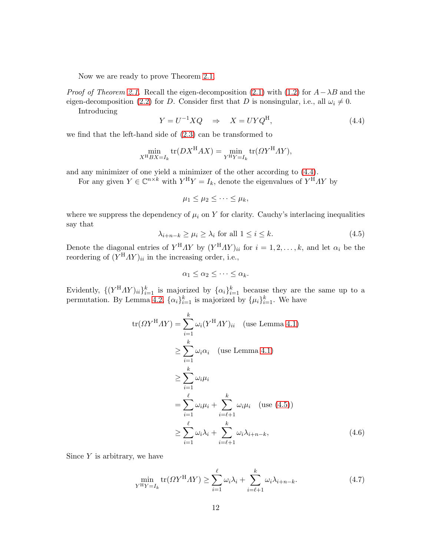Now we are ready to prove Theorem [2.1.](#page-3-0)

*Proof of Theorem [2.1.](#page-3-0)* Recall the eigen-decomposition [\(2.1\)](#page-2-1) with [\(1.2\)](#page-1-0) for  $A - \lambda B$  and the eigen-decomposition [\(2.2\)](#page-2-2) for D. Consider first that D is nonsingular, i.e., all  $\omega_i \neq 0$ .

Introducing

<span id="page-11-0"></span>
$$
Y = U^{-1}XQ \quad \Rightarrow \quad X = UYQ^{\text{H}}, \tag{4.4}
$$

we find that the left-hand side of [\(2.3\)](#page-3-1) can be transformed to

$$
\min_{X^{\mathcal{H}}BX = I_k} \text{tr}(DX^{\mathcal{H}}AX) = \min_{Y^{\mathcal{H}}Y = I_k} \text{tr}(\Omega Y^{\mathcal{H}}AY),
$$

and any minimizer of one yield a minimizer of the other according to [\(4.4\)](#page-11-0).

For any given  $Y \in \mathbb{C}^{n \times k}$  with  $Y^H Y = I_k$ , denote the eigenvalues of  $Y^H A Y$  by

$$
\mu_1 \leq \mu_2 \leq \cdots \leq \mu_k,
$$

where we suppress the dependency of  $\mu_i$  on Y for clarity. Cauchy's interlacing inequalities say that

<span id="page-11-1"></span>
$$
\lambda_{i+n-k} \ge \mu_i \ge \lambda_i \text{ for all } 1 \le i \le k. \tag{4.5}
$$

Denote the diagonal entries of  $Y^{H}AY$  by  $(Y^{H}AY)_{ii}$  for  $i = 1, 2, ..., k$ , and let  $\alpha_i$  be the reordering of  $(Y^{\mathsf{H}}AY)_{ii}$  in the increasing order, i.e.,

$$
\alpha_1 \leq \alpha_2 \leq \cdots \leq \alpha_k.
$$

Evidently,  $\{(Y^{\rm H}AY)_{ii}\}_{i=1}^k$  is majorized by  $\{\alpha_i\}_{i=1}^k$  because they are the same up to a permutation. By Lemma [4.2,](#page-10-1)  $\{\alpha_i\}_{i=1}^k$  is majorized by  $\{\mu_i\}_{i=1}^k$ . We have

$$
tr(\Omega Y^{H} \Lambda Y) = \sum_{i=1}^{k} \omega_{i} (Y^{H} \Lambda Y)_{ii} \quad \text{(use Lemma 4.1)}
$$
\n
$$
\geq \sum_{i=1}^{k} \omega_{i} \alpha_{i} \quad \text{(use Lemma 4.1)}
$$
\n
$$
\geq \sum_{i=1}^{k} \omega_{i} \mu_{i}
$$
\n
$$
= \sum_{i=1}^{\ell} \omega_{i} \mu_{i} + \sum_{i=\ell+1}^{k} \omega_{i} \mu_{i} \quad \text{(use (4.5))}
$$
\n
$$
\geq \sum_{i=1}^{\ell} \omega_{i} \lambda_{i} + \sum_{i=\ell+1}^{k} \omega_{i} \lambda_{i+n-k}, \tag{4.6}
$$

Since  $Y$  is arbitrary, we have

<span id="page-11-2"></span>
$$
\min_{Y^{\mathrm{H}}Y=I_{k}}\text{tr}(\Omega Y^{\mathrm{H}}\Lambda Y)\geq \sum_{i=1}^{\ell}\omega_{i}\lambda_{i}+\sum_{i=\ell+1}^{k}\omega_{i}\lambda_{i+n-k}.\tag{4.7}
$$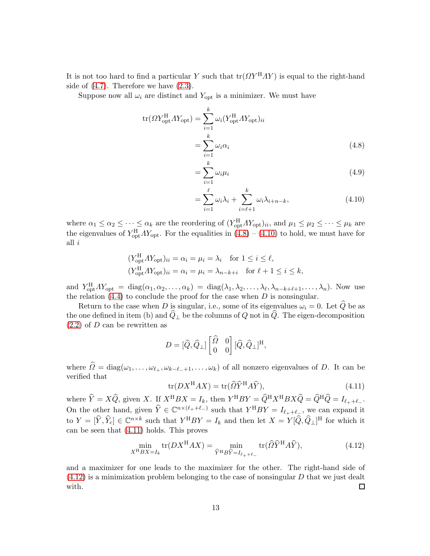It is not too hard to find a particular Y such that  $tr(\Omega Y^H A Y)$  is equal to the right-hand side of  $(4.7)$ . Therefore we have  $(2.3)$ .

Suppose now all  $\omega_i$  are distinct and  $Y_{opt}$  is a minimizer. We must have

$$
tr(\Omega Y_{opt}^{H} A Y_{opt}) = \sum_{i=1}^{k} \omega_i (Y_{opt}^{H} A Y_{opt})_{ii}
$$

$$
= \sum_{i=1}^{k} \omega_i \alpha_i
$$
(4.8)

<span id="page-12-0"></span>
$$
=\sum_{i=1}^{k}\omega_{i}\mu_{i}\tag{4.9}
$$

<span id="page-12-1"></span>
$$
= \sum_{i=1}^{\ell} \omega_i \lambda_i + \sum_{i=\ell+1}^{k} \omega_i \lambda_{i+n-k}, \qquad (4.10)
$$

where  $\alpha_1 \leq \alpha_2 \leq \cdots \leq \alpha_k$  are the reordering of  $(Y_{opt}^H A Y_{opt})_{ii}$ , and  $\mu_1 \leq \mu_2 \leq \cdots \leq \mu_k$  are the eigenvalues of  $Y_{opt}^{\rm H} A Y_{opt}$ . For the equalities in  $(4.8) - (4.10)$  $(4.8) - (4.10)$  to hold, we must have for all i

$$
(Y_{\text{opt}}^{\text{H}} \Lambda Y_{\text{opt}})_{ii} = \alpha_i = \mu_i = \lambda_i \quad \text{for } 1 \le i \le \ell,
$$
  

$$
(Y_{\text{opt}}^{\text{H}} \Lambda Y_{\text{opt}})_{ii} = \alpha_i = \mu_i = \lambda_{n-k+i} \quad \text{for } \ell + 1 \le i \le k,
$$

and  $Y_{\text{opt}}^{\text{H}} A Y_{\text{opt}} = \text{diag}(\alpha_1, \alpha_2, \dots, \alpha_k) = \text{diag}(\lambda_1, \lambda_2, \dots, \lambda_\ell, \lambda_{n-k+\ell+1}, \dots, \lambda_n)$ . Now use the relation  $(4.4)$  to conclude the proof for the case when D is nonsingular.

Return to the case when D is singular, i.e., some of its eigenvalues  $\omega_i = 0$ . Let  $\hat{Q}$  be as the one defined in item (b) and  $\widehat{Q}_\perp$  be the columns of Q not in  $\widehat{Q}$ . The eigen-decomposition  $(2.2)$  of D can be rewritten as

$$
D = [\widehat{Q}, \widehat{Q}_{\perp}] \begin{bmatrix} \widehat{\Omega} & 0 \\ 0 & 0 \end{bmatrix} [\widehat{Q}, \widehat{Q}_{\perp}]^{H},
$$

where  $\Omega = \text{diag}(\omega_1, \dots, \omega_{\ell_+}, \omega_{k-\ell_-+1}, \dots, \omega_k)$  of all nonzero eigenvalues of D. It can be verified that

<span id="page-12-2"></span>
$$
\text{tr}(DX^{\text{H}}AX) = \text{tr}(\widehat{\Omega}\widehat{Y}^{\text{H}}A\widehat{Y}),\tag{4.11}
$$

where  $\hat{Y} = X\hat{Q}$ , given X. If  $X^{\text{H}}BX = I_k$ , then  $Y^{\text{H}}BY = \hat{Q}^{\text{H}}X^{\text{H}}BX\hat{Q} = \hat{Q}^{\text{H}}\hat{Q} = I_{\ell_+ + \ell_-}$ . On the other hand, given  $\hat{Y} \in \mathbb{C}^{n \times (\ell_+ + \ell_-)}$  such that  $Y^HBY = I_{\ell_+ + \ell_-}$ , we can expand it to  $Y = [\hat{Y}, \hat{Y}_c] \in \mathbb{C}^{n \times k}$  such that  $Y^HBY = I_k$  and then let  $X = Y[\hat{Q}, \hat{Q}_\perp]^H$  for which it can be seen that [\(4.11\)](#page-12-2) holds. This proves

<span id="page-12-3"></span>
$$
\min_{X^{\mathrm{H}}BX = I_k} \text{tr}(DX^{\mathrm{H}}AX) = \min_{\widehat{Y}^{\mathrm{H}}B\widehat{Y} = I_{\ell_+ + \ell_-}} \text{tr}(\widehat{\Omega}\widehat{Y}^{\mathrm{H}}A\widehat{Y}),\tag{4.12}
$$

and a maximizer for one leads to the maximizer for the other. The right-hand side of  $(4.12)$  is a minimization problem belonging to the case of nonsingular D that we just dealt with.  $\Box$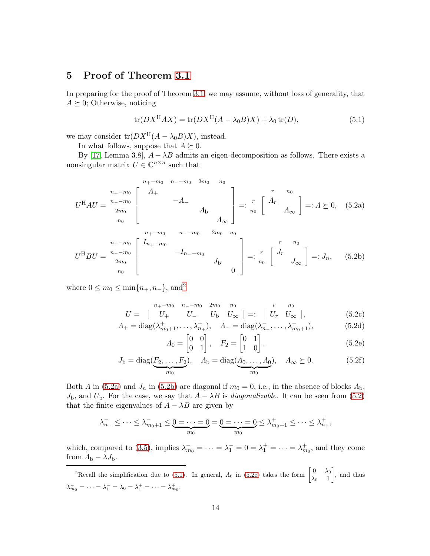## <span id="page-13-0"></span>5 Proof of Theorem [3.1](#page-5-0)

In preparing for the proof of Theorem [3.1,](#page-5-0) we may assume, without loss of generality, that  $A \succeq 0$ ; Otherwise, noticing

<span id="page-13-5"></span><span id="page-13-4"></span>
$$
\operatorname{tr}(DX^{\mathrm{H}}AX) = \operatorname{tr}(DX^{\mathrm{H}}(A - \lambda_0 B)X) + \lambda_0 \operatorname{tr}(D), \tag{5.1}
$$

we may consider  $tr(DX^H(A - \lambda_0 B)X)$ , instead.

In what follows, suppose that  $A \succeq 0$ .

By [\[17,](#page-20-7) Lemma 3.8],  $A - \lambda B$  admits an eigen-decomposition as follows. There exists a nonsingular matrix  $U \in \mathbb{C}^{n \times n}$  such that

U <sup>H</sup>AU = n+−m0 n−−m0 2m0 n0 <sup>n</sup>+−m<sup>0</sup> Λ<sup>+</sup> <sup>n</sup>−−m<sup>0</sup> −Λ<sup>−</sup> <sup>2</sup>m<sup>0</sup> Λ<sup>b</sup> <sup>n</sup><sup>0</sup> Λ<sup>∞</sup> =: r n0 <sup>r</sup> Λ<sup>r</sup> <sup>n</sup><sup>0</sup> Λ<sup>∞</sup> =: Λ 0, (5.2a) U <sup>H</sup>BU = n+−m0 n−−m0 2m0 n0 <sup>n</sup>+−m<sup>0</sup> In+−m<sup>0</sup> <sup>n</sup>−−m<sup>0</sup> −In−−m<sup>0</sup> <sup>2</sup>m<sup>0</sup> J<sup>b</sup> n<sup>0</sup> 0 =: r n0 <sup>r</sup> J<sup>r</sup> <sup>n</sup><sup>0</sup> J<sup>∞</sup> =: Jn, (5.2b)

where  $0 \leq m_0 \leq \min\{n_+, n_-\}$ , and<sup>[2](#page-13-1)</sup>

$$
U = \begin{bmatrix} n_{+} - m_{0} & n_{-} - m_{0} & 2m_{0} & n_{0} \\ U_{+} & U_{-} & U_{b} & U_{\infty} \end{bmatrix} =: \begin{bmatrix} r & n_{0} \\ U_{r} & U_{\infty} \end{bmatrix}, \tag{5.2c}
$$

$$
\Lambda_{+} = \text{diag}(\lambda_{m_{0}+1}^{+}, \dots, \lambda_{n_{+}}^{+}), \quad \Lambda_{-} = \text{diag}(\lambda_{n_{-}}^{-}, \dots, \lambda_{m_{0}+1}^{-}), \tag{5.2d}
$$

<span id="page-13-6"></span><span id="page-13-3"></span><span id="page-13-2"></span>
$$
\Lambda_0 = \begin{bmatrix} 0 & 0 \\ 0 & 1 \end{bmatrix}, \quad F_2 = \begin{bmatrix} 0 & 1 \\ 1 & 0 \end{bmatrix}, \tag{5.2e}
$$

$$
J_{\mathbf{b}} = \operatorname{diag}(\underbrace{F_2, \dots, F_2}_{m_0}), \quad \Lambda_{\mathbf{b}} = \operatorname{diag}(\underbrace{\Lambda_0, \dots, \Lambda_0}_{m_0}), \quad \Lambda_{\infty} \succeq 0. \tag{5.2f}
$$

Both  $\Lambda$  in [\(5.2a\)](#page-13-2) and  $J_n$  in [\(5.2b\)](#page-13-3) are diagonal if  $m_0 = 0$ , i.e., in the absence of blocks  $\Lambda_{\rm b}$ ,  $J<sub>b</sub>$ , and  $U<sub>b</sub>$ . For the case, we say that  $A - \lambda B$  is *diagonalizable*. It can be seen from [\(5.2\)](#page-13-4) that the finite eigenvalues of  $A - \lambda B$  are given by

$$
\lambda_{n_-}^- \leq \cdots \leq \lambda_{m_0+1}^- \leq \underbrace{0 = \cdots = 0}_{m_0} = \underbrace{0 = \cdots = 0}_{m_0} \leq \lambda_{m_0+1}^+ \leq \cdots \leq \lambda_{n_+}^+,
$$

which, compared to [\(3.5\)](#page-4-1), implies  $\lambda_{m_0}^- = \cdots = \lambda_1^- = 0 = \lambda_1^+ = \cdots = \lambda_{m_0}^+$ , and they come from  $\varLambda_{\rm b}-\lambda J_{\rm b}.$ 

<span id="page-13-1"></span><sup>2</sup>Recall the simplification due to [\(5.1\)](#page-13-5). In general,  $\Lambda_0$  in [\(5.2e\)](#page-13-6) takes the form  $\begin{bmatrix} 0 & \lambda_0 \\ 1 & 1 \end{bmatrix}$  $\lambda_0$  1 , and thus  $\lambda_{m_0}^- = \cdots = \lambda_1^- = \lambda_0 = \lambda_1^+ = \cdots = \lambda_{m_0}^+$ .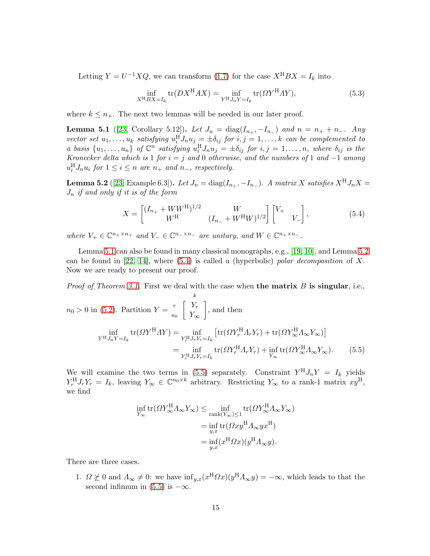Letting  $Y = U^{-1}XQ$ , we can transform [\(1.7\)](#page-1-3) for the case  $X^{H}BX = I_k$  into

<span id="page-14-4"></span>
$$
\inf_{X^{\mathrm{H}}BX = I_k} \operatorname{tr}(DX^{\mathrm{H}}AX) = \inf_{Y^{\mathrm{H}}J_nY = I_k} \operatorname{tr}(\Omega Y^{\mathrm{H}}AY),\tag{5.3}
$$

where  $k \leq n_{+}$ . The next two lemmas will be needed in our later proof.

<span id="page-14-0"></span>**Lemma 5.1** ([\[23,](#page-20-11) Corollary 5.12]). *Let*  $J_n = \text{diag}(I_{n_+}, -I_{n_-})$  *and*  $n = n_+ + n_-$ *. Any* vector set  $u_1, \ldots, u_k$  satisfying  $u_i^H J_n u_j = \pm \delta_{ij}$  for  $i, j = 1, \ldots, k$  can be complemented to *a* basis  $\{u_1, \ldots, u_n\}$  of  $\mathbb{C}^n$  satisfying  $u_i^H J_n u_j = \pm \delta_{ij}$  for  $i, j = 1, \ldots, n$ , where  $\delta_{ij}$  is the *Kronecker delta which is* 1 *for* i = j *and* 0 *otherwise, and the numbers of* 1 *and* −1 *among*  $u_i^H J_n u_i$  for  $1 \leq i \leq n$  are  $n_+$  and  $n_-$ , respectively.

<span id="page-14-1"></span>**Lemma 5.2** ([\[23,](#page-20-11) Example 6.3]). *Let*  $J_n = \text{diag}(I_{n_+}, -I_{n_-})$ . A matrix X satisfies  $X^H J_n X =$ J<sup>n</sup> *if and only if it is of the form*

<span id="page-14-2"></span>
$$
X = \begin{bmatrix} (I_{n_+} + WW^{\rm H})^{1/2} & W \\ W^{\rm H} & (I_{n_-} + W^{\rm H}W)^{1/2} \end{bmatrix} \begin{bmatrix} V_+ & \\ & V_- \end{bmatrix},
$$
(5.4)

*where*  $V_+ \in \mathbb{C}^{n_+ \times n_+}$  *and*  $V_- \in \mathbb{C}^{n_- \times n_-}$  *are unitary, and*  $W \in \mathbb{C}^{n_+ \times n_-}$ *.* 

Lemma [5.1](#page-14-0) can also be found in many classical monographs, e.g., [\[19,](#page-20-12) [10\]](#page-19-14), and Lemma [5.2](#page-14-1) can be found in [\[22,](#page-20-13) [14\]](#page-19-5), where [\(5.4\)](#page-14-2) is called a (hyperbolic) *polar decomposition* of X. Now we are ready to present our proof.

*Proof of Theorem [3.1.](#page-5-0)* First we deal with the case when **the matrix** B is singular, i.e.,

$$
n_0 > 0 \text{ in (5.2). Partition } Y = \frac{r}{n_0} \begin{bmatrix} k \\ Y_{\infty} \\ Y_{\infty} \end{bmatrix}, \text{ and then}
$$

$$
\inf_{Y^H J_n Y = I_k} \text{tr}(\Omega Y^H \Lambda Y) = \inf_{Y_r^H J_r Y_r = I_k} \left[ \text{tr}(\Omega Y_r^H \Lambda_r Y_r) + \text{tr}(\Omega Y_{\infty}^H \Lambda_{\infty} Y_{\infty}) \right]
$$

$$
= \inf_{Y_r^H J_r Y_r = I_k} \text{tr}(\Omega Y_r^H \Lambda_r Y_r) + \inf_{Y_{\infty}} \text{tr}(\Omega Y_{\infty}^H \Lambda_{\infty} Y_{\infty}). \tag{5.5}
$$

We will examine the two terms in [\(5.5\)](#page-14-3) separately. Constraint  $Y^H J_n Y = I_k$  yields  $Y_r^{\rm H} J_r Y_r = I_k$ , leaving  $Y_\infty \in \mathbb{C}^{n_0 \times k}$  arbitrary. Restricting  $Y_\infty$  to a rank-1 matrix  $xy^{\rm H}$ , we find

<span id="page-14-3"></span>
$$
\inf_{Y_{\infty}} tr(\Omega Y_{\infty}^{\mathcal{H}} A_{\infty} Y_{\infty}) \leq \inf_{\text{rank}(Y_{\infty}) \leq 1} tr(\Omega Y_{\infty}^{\mathcal{H}} A_{\infty} Y_{\infty})
$$
\n
$$
= \inf_{y,x} tr(\Omega xy^{\mathcal{H}} A_{\infty} y x^{\mathcal{H}})
$$
\n
$$
= \inf_{y,x} (x^{\mathcal{H}} \Omega x) (y^{\mathcal{H}} A_{\infty} y).
$$

There are three cases.

1.  $\Omega \not\succeq 0$  and  $\Lambda_{\infty} \neq 0$ : we have  $\inf_{y,x}(x^{\text{H}}\Omega x)(y^{\text{H}}\Lambda_{\infty}y) = -\infty$ , which leads to that the second infimum in [\(5.5\)](#page-14-3) is  $-\infty$ .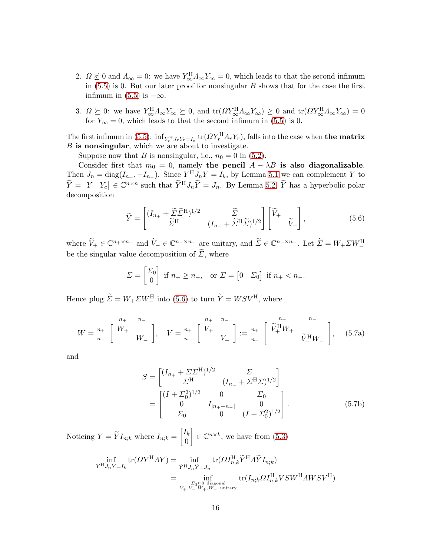- 2.  $\Omega \not\succeq 0$  and  $\Lambda_{\infty} = 0$ : we have  $Y_{\infty}^{\text{H}} \Lambda_{\infty} Y_{\infty} = 0$ , which leads to that the second infimum in  $(5.5)$  is 0. But our later proof for nonsingular B shows that for the case the first infimum in [\(5.5\)](#page-14-3) is  $-\infty$ .
- 3.  $\Omega \succeq 0$ : we have  $Y_{\infty}^{\text{H}} \Lambda_{\infty} Y_{\infty} \succeq 0$ , and  $\text{tr}(\Omega Y_{\infty}^{\text{H}} \Lambda_{\infty} Y_{\infty}) \succeq 0$  and  $\text{tr}(\Omega Y_{\infty}^{\text{H}} \Lambda_{\infty} Y_{\infty}) = 0$ for  $Y_{\infty} = 0$ , which leads to that the second infimum in [\(5.5\)](#page-14-3) is 0.

The first infimum in [\(5.5\)](#page-14-3):  $\inf_{Y_r^H J_r Y_r = I_k}$  tr $(\Omega Y_r^H \Lambda_r Y_r)$ , falls into the case when **the matrix**  $B$  is nonsingular, which we are about to investigate.

Suppose now that B is nonsingular, i.e.,  $n_0 = 0$  in [\(5.2\)](#page-13-4).

Consider first that  $m_0 = 0$ , namely the pencil  $A - \lambda B$  is also diagonalizable. Then  $J_n = \text{diag}(I_{n_+}, -I_{n_-})$ . Since  $Y^H J_n Y = I_k$ , by Lemma [5.1](#page-14-0) we can complement Y to  $\widetilde{Y} = \begin{bmatrix} Y & Y_c \end{bmatrix} \in \mathbb{C}^{n \times n}$  such that  $\widetilde{Y}^H J_n \widetilde{Y} = J_n$ . By Lemma [5.2,](#page-14-1)  $\widetilde{Y}$  has a hyperbolic polar decomposition

<span id="page-15-0"></span>
$$
\widetilde{Y} = \begin{bmatrix} (I_{n_+} + \widetilde{\Sigma} \widetilde{\Sigma}^{\mathrm{H}})^{1/2} & \widetilde{\Sigma} \\ \widetilde{\Sigma}^{\mathrm{H}} & (I_{n_-} + \widetilde{\Sigma}^{\mathrm{H}} \widetilde{\Sigma})^{1/2} \end{bmatrix} \begin{bmatrix} \widetilde{V}_+ & \\ & \widetilde{V}_- \end{bmatrix},
$$
(5.6)

where  $\widetilde{V}_+ \in \mathbb{C}^{n_+ \times n_+}$  and  $\widetilde{V}_- \in \mathbb{C}^{n_- \times n_-}$  are unitary, and  $\widetilde{\Sigma} \in \mathbb{C}^{n_+ \times n_-}$ . Let  $\widetilde{\Sigma} = W_+ \Sigma W_-^{\text{H}}$ be the singular value decomposition of  $\widetilde{\Sigma}$ , where

$$
\Sigma = \begin{bmatrix} \Sigma_0 \\ 0 \end{bmatrix}
$$
 if  $n_+ \ge n_-,$  or  $\Sigma = \begin{bmatrix} 0 & \Sigma_0 \end{bmatrix}$  if  $n_+ < n_-$ .

Hence plug  $\widetilde{\Sigma} = W_+ \Sigma W_-^{\rm H}$  into [\(5.6\)](#page-15-0) to turn  $\widetilde{Y} = W S V^{\rm H}$ , where

<span id="page-15-1"></span>
$$
W = \begin{bmatrix} n_+ & n_- \\ n_- & \end{bmatrix}, \quad V = \begin{bmatrix} n_+ & n_- \\ n_- & \end{bmatrix} := \begin{bmatrix} n_+ & n_- \\ N_- & \end{bmatrix} \begin{bmatrix} n_+ & n_- \\ \tilde{V}_+^{\rm H} W_+ & \tilde{V}_-^{\rm H} W_- \end{bmatrix}, \quad (5.7a)
$$

and

$$
S = \begin{bmatrix} (I_{n_+} + \Sigma \Sigma^{\mathrm{H}})^{1/2} & \Sigma \\ \Sigma^{\mathrm{H}} & (I_{n_-} + \Sigma^{\mathrm{H}} \Sigma)^{1/2} \end{bmatrix}
$$
  
= 
$$
\begin{bmatrix} (I + \Sigma_0^2)^{1/2} & 0 & \Sigma_0 \\ 0 & I_{|n_+ - n_-|} & 0 \\ \Sigma_0 & 0 & (I + \Sigma_0^2)^{1/2} \end{bmatrix}.
$$
 (5.7b)

Noticing  $Y = Y I_{n;k}$  where  $I_{n;k} =$  $\lceil I_k$ 0  $\Big] \in \mathbb{C}^{n \times k}$ , we have from  $(5.3)$ 

$$
\inf_{Y^{\mathcal{H}}J_nY=I_k} \text{tr}(\varOmega Y^{\mathcal{H}}AY) = \inf_{\widetilde{Y}^{\mathcal{H}}J_n\widetilde{Y}=J_n} \text{tr}(\varOmega I_{n;k}^{\mathcal{H}}\widetilde{Y}^{\mathcal{H}}\varLambda \widetilde{Y}I_{n;k})
$$
\n
$$
= \inf_{\substack{\Sigma_0 \succeq 0 \text{ diagonal} \\ V_+,V_-,W_+,W_- \text{ unitary}}} \text{tr}(I_{n;k}\varOmega I_{n;k}^{\mathcal{H}}VSW^{\mathcal{H}}AWSV^{\mathcal{H}})
$$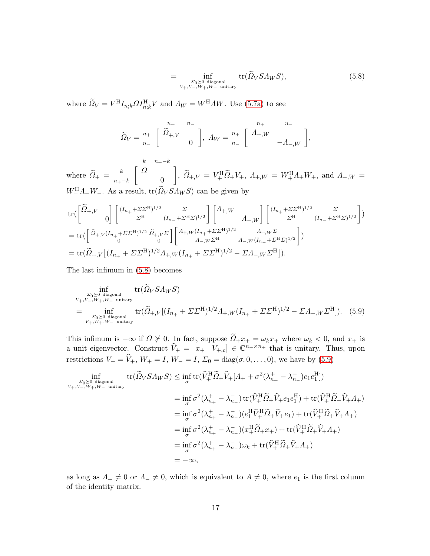<span id="page-16-0"></span>
$$
= \inf_{\substack{\Sigma_0 \succeq 0 \text{ diagonal} \\ V_+, V_-, W_+, W_- \text{ unitary}}} \text{tr}(\widetilde{\Omega}_V S \Lambda_W S), \tag{5.8}
$$

where  $\hat{Q}_V = V^H I_{n;k} \Omega I_{n;k}^H V$  and  $\Lambda_W = W^H \Lambda W$ . Use [\(5.7a\)](#page-15-1) to see

$$
\widetilde{\Omega}_V = \frac{n_+}{n_-} \left[ \begin{array}{cc} n_+ & n_- \\ \widetilde{\Omega}_+, V & 0 \end{array} \right], \ A_W = \frac{n_+}{n_-} \left[ \begin{array}{cc} n_+ & n_- \\ A_{+,W} & -A_{-,W} \end{array} \right],
$$

where  $\Omega_{+} =$  $\sqrt{ }$  $k$  n+ $-k$ k  $\left\lceil \right. \Omega$  $n_{+}-k$  0 1 ,  $\Omega_{+,V} = V_{+}^{\rm H} \Omega_{+} V_{+}$ ,  $\Lambda_{+,W} = W_{+}^{\rm H} \Lambda_{+} W_{+}$ , and  $\Lambda_{-,W} =$  $W_{-}^{\text{H}}A_{-}W_{-}$ . As a result,  $\text{tr}(\Omega_V S A_W S)$  can be given by

$$
tr(\begin{bmatrix} \widetilde{\Omega}_{+,V} & 0 \end{bmatrix} \begin{bmatrix} (I_{n_{+}} + \Sigma \Sigma^{\mathrm{H}})^{1/2} & \Sigma & 0 \\ \Sigma^{\mathrm{H}} & (I_{n_{-}} + \Sigma^{\mathrm{H}} \Sigma)^{1/2} \end{bmatrix} \begin{bmatrix} A_{+,W} & 0 \end{bmatrix} \begin{bmatrix} (I_{n_{+}} + \Sigma \Sigma^{\mathrm{H}})^{1/2} & \Sigma & 0 \\ \Sigma^{\mathrm{H}} & (I_{n_{-}} + \Sigma^{\mathrm{H}} \Sigma)^{1/2} \end{bmatrix})
$$
  
=  $tr(\begin{bmatrix} \widetilde{\Omega}_{+,V}(I_{n_{+}} + \Sigma \Sigma^{\mathrm{H}})^{1/2} & \widetilde{\Omega}_{+,V} \Sigma \\ 0 & 0 \end{bmatrix} \begin{bmatrix} A_{+,W}(I_{n_{+}} + \Sigma \Sigma^{\mathrm{H}})^{1/2} & A_{+,W} \Sigma & 0 \\ A_{-,W} \Sigma^{\mathrm{H}} & A_{-,W}(I_{n_{-}} + \Sigma^{\mathrm{H}} \Sigma)^{1/2} \end{bmatrix})$   
=  $tr(\widetilde{\Omega}_{+,V}[(I_{n_{+}} + \Sigma \Sigma^{\mathrm{H}})^{1/2}A_{+,W}(I_{n_{+}} + \Sigma \Sigma^{\mathrm{H}})^{1/2} - \Sigma A_{-,W} \Sigma^{\mathrm{H}}]).$ 

The last infimum in [\(5.8\)](#page-16-0) becomes

<span id="page-16-1"></span>
$$
\inf_{\substack{\Sigma_0 \succeq 0 \text{ diagonal} \\ V_+, V_-, W_+, W_- \text{ unitary} \\ \Sigma_0 \succeq 0 \text{ diagonal} \\ V_+, W_+, W_- \text{ unitary} }} \text{tr}(\tilde{\Omega}_V S \Lambda_W S) \n= \inf_{\substack{\Sigma_0 \succeq 0 \text{ diagonal} \\ V_+, W_+, W_- \text{ unitary} }} \text{tr}(\tilde{\Omega}_+, V[(I_{n_+} + \Sigma \Sigma^{\text{H}})^{1/2} \Lambda_{+,W}(I_{n_+} + \Sigma \Sigma^{\text{H}})^{1/2} - \Sigma \Lambda_{-,W} \Sigma^{\text{H}}]).
$$
(5.9)

This infimum is  $-\infty$  if  $\Omega \not\succeq 0$ . In fact, suppose  $\Omega_+ x_+ = \omega_k x_+$  where  $\omega_k < 0$ , and  $x_+$  is a unit eigenvector. Construct  $\hat{V}_+ = \begin{bmatrix} x_+ & V_{+,c} \end{bmatrix} \in \mathbb{C}^{n_+ \times n_+}$  that is unitary. Thus, upon restrictions  $V_+ = \hat{V}_+, W_+ = I, W_- = I, \Sigma_0 = \text{diag}(\sigma, 0, \dots, 0)$ , we have by [\(5.9\)](#page-16-1)

$$
\inf_{\substack{\Sigma_0 \succeq 0 \text{ diagonal} \\ V_+, V_-, W_+, W_- \text{ unitary}}} \text{tr}(\widetilde{\Omega}_V S \Lambda_W S) \leq \inf_{\sigma} \text{tr}(\widehat{V}_+^H \widetilde{\Omega}_+ \widehat{V}_+ [A_+ + \sigma^2(\lambda_{n_+}^+ - \lambda_{n_-}^-) e_1 e_1^H])
$$
\n
$$
= \inf_{\sigma} \sigma^2(\lambda_{n_+}^+ - \lambda_{n_-}^-) \text{tr}(\widehat{V}_+^H \widetilde{\Omega}_+ \widehat{V}_+ e_1 e_1^H) + \text{tr}(\widehat{V}_+^H \widetilde{\Omega}_+ \widehat{V}_+ A_+)
$$
\n
$$
= \inf_{\sigma} \sigma^2(\lambda_{n_+}^+ - \lambda_{n_-}^-) (e_1^H \widehat{V}_+^H \widetilde{\Omega}_+ \widehat{V}_+ e_1) + \text{tr}(\widehat{V}_+^H \widetilde{\Omega}_+ \widehat{V}_+ A_+)
$$
\n
$$
= \inf_{\sigma} \sigma^2(\lambda_{n_+}^+ - \lambda_{n_-}^-) (x_1^H \widetilde{\Omega}_+ x_+) + \text{tr}(\widehat{V}_+^H \widetilde{\Omega}_+ \widehat{V}_+ A_+)
$$
\n
$$
= \inf_{\sigma} \sigma^2(\lambda_{n_+}^+ - \lambda_{n_-}^-) \omega_k + \text{tr}(\widehat{V}_+^H \widetilde{\Omega}_+ \widehat{V}_+ A_+)
$$
\n
$$
= -\infty,
$$

as long as  $\Lambda_+ \neq 0$  or  $\Lambda_- \neq 0$ , which is equivalent to  $A \neq 0$ , where  $e_1$  is the first column of the identity matrix.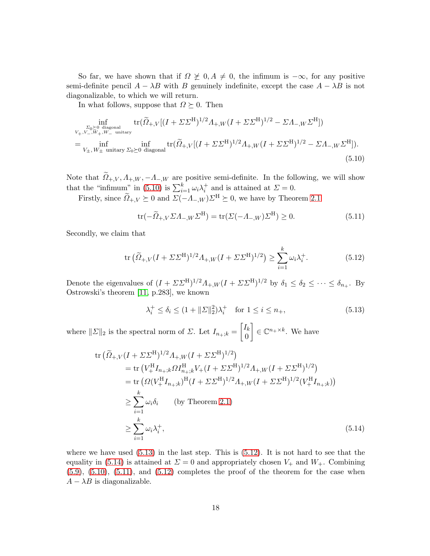So far, we have shown that if  $\Omega \not\geq 0, A \neq 0$ , the infimum is  $-\infty$ , for any positive semi-definite pencil  $A - \lambda B$  with B genuinely indefinite, except the case  $A - \lambda B$  is not diagonalizable, to which we will return.

In what follows, suppose that  $\Omega \succeq 0$ . Then

$$
\inf_{\substack{\Sigma_0 \succeq 0 \text{ diagonal} \\ V_+, V_-, W_+, W_- \text{ unitary} \\ \Xi_0 \succeq 0 \text{ diagonal} \\ V_+, W_+ \text{ unitary } \Sigma_0 \succeq 0 \text{ diagonal} }} \text{tr}(\tilde{\Omega}_{+,V}[(I + \Sigma \Sigma^{\text{H}})^{1/2} A_{+,W}(I + \Sigma \Sigma^{\text{H}})^{1/2} - \Sigma A_{-,W} \Sigma^{\text{H}}]).
$$
\n
$$
= \inf_{V_\pm, W_\pm \text{ unitary } \Sigma_0 \succeq 0 \text{ diagonal}} \text{tr}(\tilde{\Omega}_{+,V}[(I + \Sigma \Sigma^{\text{H}})^{1/2} A_{+,W}(I + \Sigma \Sigma^{\text{H}})^{1/2} - \Sigma A_{-,W} \Sigma^{\text{H}}]).
$$
\n(5.10)

Note that  $\tilde{Q}_{+,V}, A_{+,W}, -A_{-,W}$  are positive semi-definite. In the following, we will show that the "infimum" in [\(5.10\)](#page-17-0) is  $\sum_{i=1}^{k} \omega_i \lambda_i^+$  and is attained at  $\Sigma = 0$ .

Firstly, since  $\widetilde{\Omega}_{+,V} \succeq 0$  and  $\Sigma(-\Lambda_{-,W})\Sigma^{\mathrm{H}} \succeq 0$ , we have by Theorem [2.1](#page-3-0)

<span id="page-17-4"></span><span id="page-17-0"></span>
$$
\operatorname{tr}(-\widetilde{\Omega}_{+,V}\Sigma\Lambda_{-,W}\Sigma^{\mathrm{H}}) = \operatorname{tr}(\Sigma(-\Lambda_{-,W})\Sigma^{\mathrm{H}}) \ge 0. \tag{5.11}
$$

Secondly, we claim that

<span id="page-17-2"></span>
$$
\text{tr}\left(\widetilde{\Omega}_{+,V}(I+\Sigma\Sigma^{\text{H}})^{1/2}A_{+,W}(I+\Sigma\Sigma^{\text{H}})^{1/2}\right) \ge \sum_{i=1}^{k} \omega_i \lambda_i^+.
$$
 (5.12)

Denote the eigenvalues of  $(I + \Sigma \Sigma^H)^{1/2} \Lambda_{+,W} (I + \Sigma \Sigma^H)^{1/2}$  by  $\delta_1 \leq \delta_2 \leq \cdots \leq \delta_{n_+}$ . By Ostrowski's theorem [\[11,](#page-19-4) p.283], we known

<span id="page-17-3"></span><span id="page-17-1"></span>
$$
\lambda_i^+ \le \delta_i \le (1 + ||\Sigma||_2^2)\lambda_i^+ \quad \text{for } 1 \le i \le n_+, \tag{5.13}
$$

where  $||\Sigma||_2$  is the spectral norm of  $\Sigma$ . Let  $I_{n+;k} =$  $\lceil I_k \rceil$ 0  $\Big] \in \mathbb{C}^{n_+ \times k}$ . We have

$$
\text{tr}\left(\widetilde{\Omega}_{+,V}(I+\Sigma\Sigma^{\text{H}})^{1/2}\Lambda_{+,W}(I+\Sigma\Sigma^{\text{H}})^{1/2}\right) \n= \text{tr}\left(V_{+}^{\text{H}}I_{n_{+};k}\Omega I_{n_{+};k}^{\text{H}}V_{+}(I+\Sigma\Sigma^{\text{H}})^{1/2}\Lambda_{+,W}(I+\Sigma\Sigma^{\text{H}})^{1/2}\right) \n= \text{tr}\left(\Omega(V_{+}^{\text{H}}I_{n_{+};k})^{\text{H}}(I+\Sigma\Sigma^{\text{H}})^{1/2}\Lambda_{+,W}(I+\Sigma\Sigma^{\text{H}})^{1/2}(V_{+}^{\text{H}}I_{n_{+};k})\right) \n\geq \sum_{i=1}^{k} \omega_{i}\delta_{i} \qquad \text{(by Theorem 2.1)} \n\geq \sum_{i=1}^{k} \omega_{i}\lambda_{i}^{+},
$$
\n(5.14)

where we have used  $(5.13)$  in the last step. This is  $(5.12)$ . It is not hard to see that the equality in [\(5.14\)](#page-17-3) is attained at  $\Sigma = 0$  and appropriately chosen  $V_+$  and  $W_+$ . Combining  $(5.9)$ ,  $(5.10)$ ,  $(5.11)$ , and  $(5.12)$  completes the proof of the theorem for the case when  $A - \lambda B$  is diagonalizable.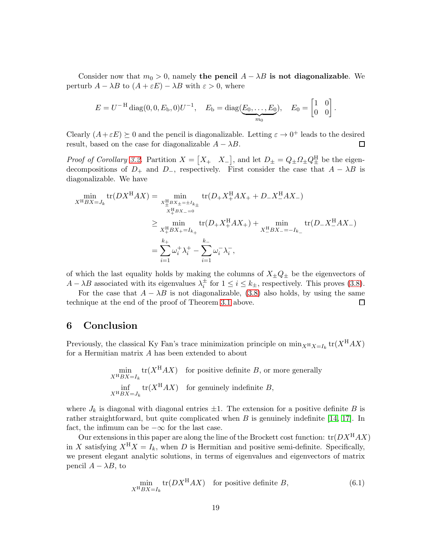Consider now that  $m_0 > 0$ , namely the pencil  $A - \lambda B$  is not diagonalizable. We perturb  $A - \lambda B$  to  $(A + \varepsilon E) - \lambda B$  with  $\varepsilon > 0$ , where

$$
E = U^{-H} \text{diag}(0, 0, E_{b}, 0) U^{-1}, \quad E_{b} = \text{diag}(\underbrace{E_{0}, \dots, E_{0}}_{m_{0}}), \quad E_{0} = \begin{bmatrix} 1 & 0 \\ 0 & 0 \end{bmatrix}
$$

.

Clearly  $(A + \varepsilon E) \succeq 0$  and the pencil is diagonalizable. Letting  $\varepsilon \to 0^+$  leads to the desired result, based on the case for diagonalizable  $A - \lambda B$ .  $\Box$ 

*Proof of Corollary [3.2.](#page-5-2)* Partition  $X = \begin{bmatrix} X_+ & X_- \end{bmatrix}$ , and let  $D_{\pm} = Q_{\pm} Q_{\pm}^{\rm H}$  be the eigendecompositions of  $D_+$  and  $D_-$ , respectively. First consider the case that  $A - \lambda B$  is diagonalizable. We have

$$
\min_{X^{H}BX = J_{k}} tr(DX^{H}AX) = \min_{\substack{X^{H}_{\pm}BX_{\pm} = \pm I_{k_{\pm}} \\ X^{H}_{\mp}BX_{\pm} = 0}} tr(D_{+}X^{H}_{+}AX_{+} + D_{-}X^{H}_{-}AX_{-})
$$
\n
$$
\geq \min_{X^{H}_{\mp}BX_{\mp} = I_{k_{+}}} tr(D_{+}X^{H}_{+}AX_{+}) + \min_{X^{H}_{-}BX_{-} = -I_{k_{-}}} tr(D_{-}X^{H}_{-}AX_{-})
$$
\n
$$
= \sum_{i=1}^{k_{+}} \omega_{i}^{+} \lambda_{i}^{+} - \sum_{i=1}^{k_{-}} \omega_{i}^{-} \lambda_{i}^{-},
$$

of which the last equality holds by making the columns of  $X_{\pm}Q_{\pm}$  be the eigenvectors of  $A - \lambda B$  associated with its eigenvalues  $\lambda_i^{\pm}$  for  $1 \le i \le k_{\pm}$ , respectively. This proves [\(3.8\)](#page-5-3).

For the case that  $A - \lambda B$  is not diagonalizable, [\(3.8\)](#page-5-3) also holds, by using the same nique at the end of the proof of Theorem 3.1 above. technique at the end of the proof of Theorem [3.1](#page-5-0) above.

#### <span id="page-18-0"></span>6 Conclusion

Previously, the classical Ky Fan's trace minimization principle on  $\min_{X^H X = I_k} tr(X^H AX)$ for a Hermitian matrix A has been extended to about

$$
\min_{X^{\mathrm{H}}BX = I_k} \text{tr}(X^{\mathrm{H}}AX) \quad \text{for positive definite } B, \text{ or more generally}
$$
\n
$$
\inf_{X^{\mathrm{H}}BX = J_k} \text{tr}(X^{\mathrm{H}}AX) \quad \text{for genuinely indefinite } B,
$$

where  $J_k$  is diagonal with diagonal entries  $\pm 1$ . The extension for a positive definite B is rather straightforward, but quite complicated when  $B$  is genuinely indefinite [\[14,](#page-19-5) [17\]](#page-20-7). In fact, the infimum can be  $-\infty$  for the last case.

Our extensions in this paper are along the line of the Brockett cost function:  $tr(DX<sup>H</sup>AX)$ in X satisfying  $X^H X = I_k$ , when D is Hermitian and positive semi-definite. Specifically, we present elegant analytic solutions, in terms of eigenvalues and eigenvectors of matrix pencil  $A - \lambda B$ , to

$$
\min_{X^{\mathrm{H}}BX = I_k} \text{tr}(DX^{\mathrm{H}}AX) \quad \text{for positive definite } B,\tag{6.1}
$$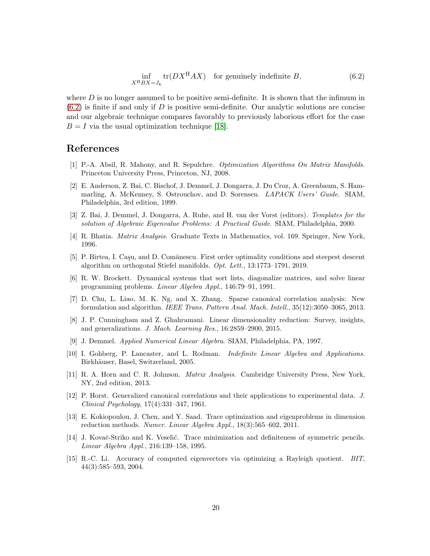<span id="page-19-15"></span>
$$
\inf_{X^{\mathrm{H}}BX = J_k} \operatorname{tr}(DX^{\mathrm{H}}AX) \quad \text{for genuinely indefinite } B,\tag{6.2}
$$

where  $D$  is no longer assumed to be positive semi-definite. It is shown that the infimum in  $(6.2)$  is finite if and only if D is positive semi-definite. Our analytic solutions are concise and our algebraic technique compares favorably to previously laborious effort for the case  $B = I$  via the usual optimization technique [\[18\]](#page-20-8).

#### <span id="page-19-6"></span>References

- [1] P.-A. Absil, R. Mahony, and R. Sepulchre. *Optimization Algorithms On Matrix Manifolds*. Princeton University Press, Princeton, NJ, 2008.
- <span id="page-19-9"></span>[2] E. Anderson, Z. Bai, C. Bischof, J. Demmel, J. Dongarra, J. Du Croz, A. Greenbaum, S. Hammarling, A. McKenney, S. Ostrouchov, and D. Sorensen. *LAPACK Users' Guide*. SIAM, Philadelphia, 3rd edition, 1999.
- <span id="page-19-10"></span>[3] Z. Bai, J. Demmel, J. Dongarra, A. Ruhe, and H. van der Vorst (editors). *Templates for the solution of Algebraic Eigenvalue Problems: A Practical Guide*. SIAM, Philadelphia, 2000.
- <span id="page-19-12"></span><span id="page-19-7"></span>[4] R. Bhatia. *Matrix Analysis*. Graduate Texts in Mathematics, vol. 169. Springer, New York, 1996.
- [5] P. Birtea, I. Caşu, and D. Comănescu. First order optimality conditions and steepest descent algorithm on orthogonal Stiefel manifolds. *Opt. Lett.*, 13:1773–1791, 2019.
- <span id="page-19-8"></span>[6] R. W. Brockett. Dynamical systems that sort lists, diagonalize matrices, and solve linear programming problems. *Linear Algebra Appl.*, 146:79–91, 1991.
- <span id="page-19-1"></span>[7] D. Chu, L. Liao, M. K. Ng, and X. Zhang. Sparse canonical correlation analysis: New formulation and algorithm. *IEEE Trans. Pattern Anal. Mach. Intell.*, 35(12):3050–3065, 2013.
- <span id="page-19-2"></span>[8] J. P. Cunningham and Z. Ghahramani. Linear dimensionality reduction: Survey, insights, and generalizations. *J. Mach. Learning Res.*, 16:2859–2900, 2015.
- <span id="page-19-14"></span><span id="page-19-11"></span>[9] J. Demmel. *Applied Numerical Linear Algebra*. SIAM, Philadelphia, PA, 1997.
- [10] I. Gohberg, P. Lancaster, and L. Rodman. *Indefinite Linear Algebra and Applications*. Birkhäuser, Basel, Switzerland, 2005.
- <span id="page-19-4"></span>[11] R. A. Horn and C. R. Johnson. *Matrix Analysis*. Cambridge University Press, New York, NY, 2nd edition, 2013.
- <span id="page-19-3"></span>[12] P. Horst. Generalized canonical correlations and their applications to experimental data. *J. Clinical Psychology*, 17(4):331–347, 1961.
- <span id="page-19-0"></span>[13] E. Kokiopoulou, J. Chen, and Y. Saad. Trace optimization and eigenproblems in dimension reduction methods. *Numer. Linear Algebra Appl.*, 18(3):565–602, 2011.
- <span id="page-19-5"></span>[14] J. Kovač-Striko and K. Veselić. Trace minimization and definiteness of symmetric pencils. *Linear Algebra Appl.*, 216:139–158, 1995.
- <span id="page-19-13"></span>[15] R.-C. Li. Accuracy of computed eigenvectors via optimizing a Rayleigh quotient. *BIT*, 44(3):585–593, 2004.